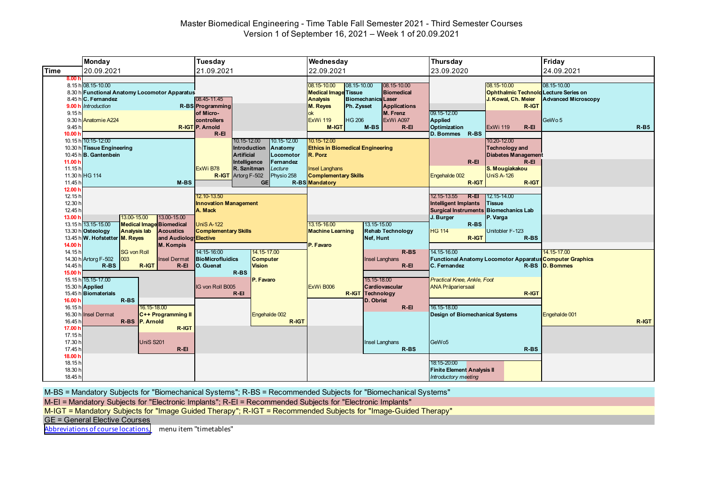#### Master Biomedical Engineering - Time Table Fall Semester 2021 - Third Semester Courses Version 1 of September 16, 2021 – Week 1 of 20.09.2021

|                                                                                        | <b>Monday</b>                                                                                                                                                                                                                                                            | <b>Tuesday</b>                                                                                                                                                                                                               | Wednesday                                                                                                                                                                                                                                                                                             | <b>Thursday</b>                                                                                                                                                                                                      | Friday                                                          |
|----------------------------------------------------------------------------------------|--------------------------------------------------------------------------------------------------------------------------------------------------------------------------------------------------------------------------------------------------------------------------|------------------------------------------------------------------------------------------------------------------------------------------------------------------------------------------------------------------------------|-------------------------------------------------------------------------------------------------------------------------------------------------------------------------------------------------------------------------------------------------------------------------------------------------------|----------------------------------------------------------------------------------------------------------------------------------------------------------------------------------------------------------------------|-----------------------------------------------------------------|
| <b>Time</b>                                                                            | 20.09.2021                                                                                                                                                                                                                                                               | 21.09.2021                                                                                                                                                                                                                   | 22.09.2021                                                                                                                                                                                                                                                                                            | 23.09.2020                                                                                                                                                                                                           | 24.09.2021                                                      |
| 8.00h<br>9.00h<br>9.15h<br>9.30 h<br>9.45 <sub>h</sub>                                 | 8.15 h 08.15-10.00<br>8.30 h Functional Anatomy Locomotor Apparatus<br>8.45 h C. Fernandez<br><b>Introduction</b><br>Anatomie A224                                                                                                                                       | 08.45-11.45<br>R-BS Programming<br>of Micro-<br>controllers<br><b>R-IGT P. Arnold</b>                                                                                                                                        | 08.15-10.00<br>08.15-10.00<br>08.15-10.00<br><b>Medical Image Tissue</b><br><b>Biomedical</b><br><b>Analysis</b><br><b>Biomechanics Laser</b><br>M. Reyes<br>Ph. Zysset<br><b>Applications</b><br>M. Frenz<br>ok<br><b>HG 206</b><br>ExWi A097<br><b>ExWi 119</b><br>$M-BS$<br>$R-EI$<br><b>M-IGT</b> | 08.15-10.00<br>Ophthalmic Technolo Lecture Series on<br>J. Kowal, Ch. Meier<br>R-IGT<br>09.15-12.00<br>Applied<br>Optimization<br><b>ExWi 119</b><br>$R - EI$                                                        | 08.15-10.00<br><b>Advanced Microscopy</b><br>GeWo 5<br>$R - B5$ |
| 10.00 $h$<br>10.15h<br>11.00 $F$<br>11.15h<br>11.45 h                                  | 10:15-12:00<br>10.30 h Tissue Engineering<br>10.45 h B. Gantenbein<br>11.30 h HG 114<br>$M-BS$                                                                                                                                                                           | $R-EI$<br>10.15-12.00<br>10.15-12.00<br><b>Introduction</b><br>Anatomy<br><b>Artificial</b><br>Locomotor<br>Intelligence<br>Fernandez<br>ExWi B78<br>R. Sznitman<br>Lecture<br>R-IGT Artorg F-502<br>Physio 258<br><b>GE</b> | 10.15-12.00<br><b>Ethics in Biomedical Engineering</b><br>R. Porz<br><b>Insel Langhans</b><br><b>Complementary Skills</b><br>R-BS Mandatory                                                                                                                                                           | D. Bommes R-BS<br>10.20-12.00<br><b>Technology and</b><br><b>Diabetes Management</b><br>$R - EI$<br>$R - EI$<br>S. Mougiakakou<br>Engehalde 002<br><b>UniS A-126</b><br>R-IGT<br>R-IGT                               |                                                                 |
| 12.001<br>12.15h<br>12.30 h<br>12.45 h<br>13.00 h<br>14.00 h                           | 13.00-15.00<br>13.00-15.00<br>13.15 h 13.15-15.00<br><b>Medical Image Biomedical</b><br>13.30 h Osteology<br><b>Analysis lab</b><br><b>Acoustics</b><br>13.45 h W. Hofstetter M. Reyes<br>and Audiolog Elective<br><b>M. Kompis</b>                                      | 12.10-13.50<br><b>Innovation Management</b><br>A. Mack<br>$UniS A-122$<br><b>Complementary Skills</b>                                                                                                                        | 13.15-16.00<br>13.15-15.00<br><b>Machine Learning</b><br><b>Rehab Technology</b><br>Nef, Hunt<br>P. Favaro                                                                                                                                                                                            | 12.15-13.55<br>R-EI<br>12.15-14.00<br><b>Intelligent Implants</b><br><b>Tissue</b><br>Surgical Instruments Biomechanics Lab<br>J. Burger<br>P. Varga<br>R-BS<br>Unitobler F-123<br><b>HG 114</b><br>R-IGT<br>R-BS    |                                                                 |
| 14.15h<br>14.45 h<br>15.00<br>16.00 h<br>16.15h<br>16.30 h<br>16.45<br>17.00<br>17.15h | <b>SG von Roll</b><br>14.30 h Artorg F-502<br>003<br><b>Insel Dermat</b><br>$R-BS$<br>R-IGT<br>$R - EI$<br>15.15 h 15.15-17.00<br>15.30 h Applied<br>15.45 h Biomaterials<br>R-BS<br>16.15-18.00<br>C++ Programming II<br><b>Insel Dermat</b><br>R-BS P. Arnold<br>R-IGT | 14:15-16:00<br>14.15-17.00<br><b>BioMicrofluidics</b><br><b>Computer</b><br><b>O.</b> Guenat<br><b>Vision</b><br>R-BS<br>P. Favaro<br>IG von Roll B005<br>$R - EI$<br>Engehalde 002<br>R-IGT                                 | $R-BS$<br><b>Insel Langhans</b><br>$R-EI$<br>15.15-18.00<br>ExWi B006<br>Cardiovascular<br><b>R-IGT</b> Technology<br>D. Obrist<br>$R-EI$                                                                                                                                                             | 14.15-16.00<br>Functional Anatomy Locomotor Apparatus Computer Graphics<br>C. Fernandez<br><b>Practical Knee, Ankle, Foot</b><br><b>ANA Präpariersaal</b><br>R-IGT<br>16.15-18.00<br>Design of Biomechanical Systems | 14.15-17.00<br>R-BS D. Bommes<br>Engehalde 001<br>R-IGT         |
| 17.30 h<br>17.45 h<br>18.00 h<br>18.15h<br>18.30 h<br>18.45h                           | <b>UniS S201</b><br>$R - EI$                                                                                                                                                                                                                                             |                                                                                                                                                                                                                              | Insel Langhans<br>$R-BS$                                                                                                                                                                                                                                                                              | GeW <sub>05</sub><br>R-BS<br>18:15-20:00<br><b>Finite Element Analysis II</b><br>Introductory meeting                                                                                                                |                                                                 |

M-BS = Mandatory Subjects for "Biomechanical Systems"; R-BS = Recommended Subjects for "Biomechanical Systems"

M-EI = Mandatory Subjects for "Electronic Implants"; R-EI = Recommended Subjects for "Electronic Implants"

M-IGT = Mandatory Subjects for "Image Guided Therapy"; R-IGT = Recommended Subjects for "Image-Guided Therapy"

GE = General Elective Courses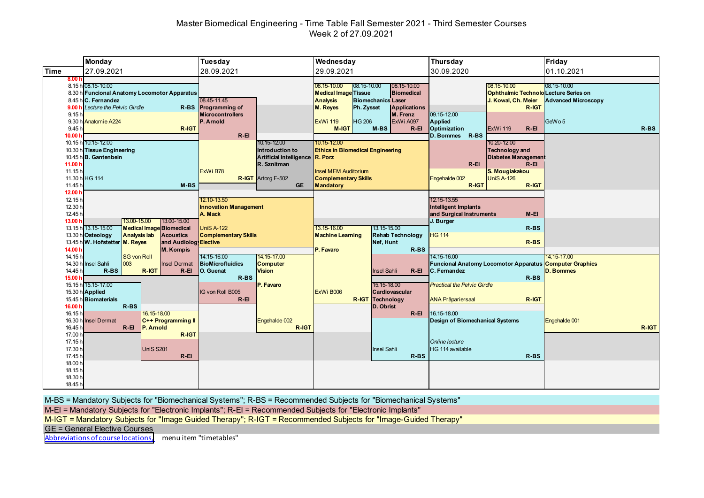# Master Biomedical Engineering - Time Table Fall Semester 2021 - Third Semester Courses Week 2 of 27.09.2021

|                                                   | <b>Monday</b>                                                                                                                                                  | Tuesday                                                                                                                                            | Wednesday                                                                                                                                                                                                                                                                                      | Thursday                                                                                                                                                                                         | Friday                                                         |
|---------------------------------------------------|----------------------------------------------------------------------------------------------------------------------------------------------------------------|----------------------------------------------------------------------------------------------------------------------------------------------------|------------------------------------------------------------------------------------------------------------------------------------------------------------------------------------------------------------------------------------------------------------------------------------------------|--------------------------------------------------------------------------------------------------------------------------------------------------------------------------------------------------|----------------------------------------------------------------|
| <b>Time</b>                                       | 27.09.2021                                                                                                                                                     | 28.09.2021                                                                                                                                         | 29.09.2021                                                                                                                                                                                                                                                                                     | 30.09.2020                                                                                                                                                                                       | 01.10.2021                                                     |
| 8.00h<br>9.15h<br>9.45h                           | 8.15 h 08.15-10.00<br>8.30 h Funcional Anatomy Locomotor Apparatus<br>8.45 h C. Fernandez<br>9.00 h Lecture the Pelvic Girdle<br>9.30 h Anatomie A224<br>R-IGT | 08.45-11.45<br>R-BS Programming of<br><b>Microcontrollers</b><br>P. Arnold                                                                         | $08.15 - 10.00$<br>08.15-10.00<br>08.15-10.00<br><b>Medical Image Tissue</b><br><b>Biomedical</b><br><b>Biomechanics Laser</b><br><b>Analysis</b><br>M. Reyes<br>Ph. Zysset<br><b>Applications</b><br>M. Frenz<br><b>HG 206</b><br>ExWi A097<br><b>ExWi 119</b><br>$M-BS$<br>$R - EI$<br>M-IGT | 08.15-10.00<br><b>Ophthalmic Technold Lecture Series on</b><br>J. Kowal, Ch. Meier<br>R-IGT<br>09.15-12.00<br>Applied<br>Optimization<br><b>ExWi 119</b><br>$R - EI$                             | 08.15-10.00<br><b>Advanced Microscopy</b><br>GeWo 5<br>$R$ -BS |
| 10.00 h<br>11.00 <sub>b</sub><br>11.15h<br>11.45h | 10.15 h 10:15-12:00<br>10.30 h Tissue Engineering<br>10.45 h B. Gantenbein<br>11.30 h HG 114<br>$M-BS$                                                         | $R - EI$<br>10.15-12.00<br>Introduction to<br>Artificial Intelligence R. Porz<br>R. Sznitman<br>ExWi B78<br><b>R-IGT</b> Artorg F-502<br><b>GE</b> | 10.15-12.00<br><b>Ethics in Biomedical Engineering</b><br><b>Insel MEM Auditorium</b><br><b>Complementary Skills</b><br>Mandatory                                                                                                                                                              | R-BS<br><b>D. Bommes</b><br>10.20-12.00<br><b>Technology and</b><br><b>Diabetes Management</b><br>$R - EI$<br>$R - EI$<br>S. Mougiakakou<br><b>UniS A-126</b><br>Engehalde 002<br>R-IGT<br>R-IGT |                                                                |
| 12.00 h<br>12.15h<br>12.30 h<br>12.45h<br>13.00 h | 13.00-15.00<br>13.00-15.00<br>13.15 h 13.15-15.00<br><b>Medical Image Biomedical</b>                                                                           | 12.10-13.50<br><b>Innovation Management</b><br>A. Mack<br><b>UniS A-122</b>                                                                        | 13.15-15.00<br>13.15-16.00                                                                                                                                                                                                                                                                     | 12.15-13.55<br><b>Intelligent Implants</b><br>and Surgical Instruments<br>$M-EI$<br>J. Burger<br>R-BS                                                                                            |                                                                |
|                                                   | 13.30 h Osteology<br><b>Analysis lab</b><br><b>Acoustics</b><br>13.45 h W. Hofstetter M. Reyes<br>and Audiolog Elective                                        | <b>Complementary Skills</b>                                                                                                                        | <b>Machine Learning</b><br><b>Rehab Technology</b><br>Nef, Hunt                                                                                                                                                                                                                                | <b>HG 114</b><br>$R-BS$                                                                                                                                                                          |                                                                |
| 14.00 h<br>14.15h<br>14.45h<br>15.00 h            | <b>M. Kompis</b><br><b>SG von Roll</b><br>003<br>14.30 h Insel Sahli<br><b>Insel Dermat</b><br>$R-BS$<br>R-IGT<br>$R - EI$                                     | 14:15-16:00<br>14.15-17.00<br>BioMicrofluidics<br><b>Computer</b><br>O. Guenat<br><b>Vision</b><br>R-BS                                            | $R$ -BS<br>P. Favaro<br><b>Insel Sahli</b><br>$R - EI$                                                                                                                                                                                                                                         | 14.15-16.00<br><b>Funcional Anatomy Locomotor Apparatus Computer Graphics</b><br>C. Fernandez<br>R-BS                                                                                            | 14.15-17.00<br><b>D. Bommes</b>                                |
| 16.00 h<br>16.15h                                 | 15.15 h 15.15-17.00<br>15.30 h Applied<br>15.45 h Biomaterials<br>$R$ -BS<br>16.15-18.00                                                                       | P. Favaro<br>IG von Roll B005<br>$R - EI$                                                                                                          | 15.15-18.00<br>ExWi B006<br>Cardiovascular<br><b>R-IGT Technology</b><br>D. Obrist<br>$R - EI$                                                                                                                                                                                                 | <b>Practical the Pelvic Girdle</b><br>R-IGT<br><b>ANA Präpariersaal</b><br>16.15-18.00                                                                                                           |                                                                |
| 16.30h<br>16.45h<br>17.00 h                       | <b>Insel Dermat</b><br>C++ Programming II<br>$R - EI$<br>P. Arnold<br>R-IGT                                                                                    | Engehalde 002<br>R-IGT                                                                                                                             |                                                                                                                                                                                                                                                                                                | <b>Design of Biomechanical Systems</b>                                                                                                                                                           | Engehalde 001<br>R-IGT                                         |
| 17.15h<br>17.30 h<br>17.45h                       | <b>UniS S201</b><br>$R - EI$                                                                                                                                   |                                                                                                                                                    | <b>Insel Sahli</b><br>$R$ -BS                                                                                                                                                                                                                                                                  | Online lecture<br>HG 114 available<br>$R-BS$                                                                                                                                                     |                                                                |
| 18.00 h<br>18.15h<br>18.30h<br>18.45h             |                                                                                                                                                                |                                                                                                                                                    |                                                                                                                                                                                                                                                                                                |                                                                                                                                                                                                  |                                                                |

M-BS = Mandatory Subjects for "Biomechanical Systems"; R-BS = Recommended Subjects for "Biomechanical Systems"

M-EI = Mandatory Subjects for "Electronic Implants"; R-EI = Recommended Subjects for "Electronic Implants"

M-IGT = Mandatory Subjects for "Image Guided Therapy"; R-IGT = Recommended Subjects for "Image-Guided Therapy"

GE = General Elective Courses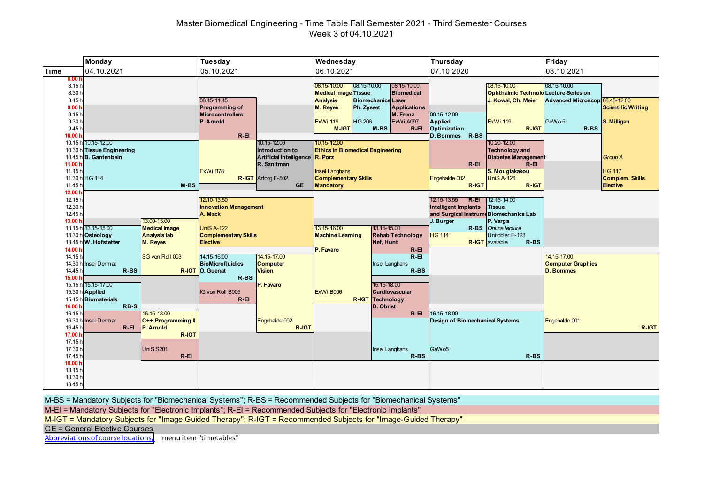# Master Biomedical Engineering - Time Table Fall Semester 2021 - Third Semester Courses Week 3 of 04.10.2021

|                                                                                                         | <b>Monday</b>                                                                 |                                                                                         | <b>Tuesday</b>                                                                                              |                                                                                   | Wednesday                                                                                                                                                                                                                |                                                                                                                                   | Thursday                                                                                                  |                                                                                                                                                        | Friday                                                                        |                                                                       |
|---------------------------------------------------------------------------------------------------------|-------------------------------------------------------------------------------|-----------------------------------------------------------------------------------------|-------------------------------------------------------------------------------------------------------------|-----------------------------------------------------------------------------------|--------------------------------------------------------------------------------------------------------------------------------------------------------------------------------------------------------------------------|-----------------------------------------------------------------------------------------------------------------------------------|-----------------------------------------------------------------------------------------------------------|--------------------------------------------------------------------------------------------------------------------------------------------------------|-------------------------------------------------------------------------------|-----------------------------------------------------------------------|
| <b>Time</b>                                                                                             | 04.10.2021                                                                    |                                                                                         | 05.10.2021                                                                                                  |                                                                                   | 06.10.2021                                                                                                                                                                                                               |                                                                                                                                   | 07.10.2020                                                                                                |                                                                                                                                                        | 08.10.2021                                                                    |                                                                       |
| 8.00 <sub>h</sub><br>8.15h<br>8.30h<br>8.45h<br>9.00h<br>9.15h<br>9.30 h<br>9.45h<br>10.00 <sub>b</sub> | 10.15 h 10:15-12:00<br>10.30 h Tissue Engineering                             |                                                                                         | 08.45-11.45<br>Programming of<br><b>Microcontrollers</b><br>P. Arnold<br>$R - EI$                           | 10.15-12.00<br>Introduction to                                                    | $08.15 - 10.00$<br>08.15-10.00<br><b>Medical Image Tissue</b><br><b>Analysis</b><br><b>M. Reyes</b><br>Ph. Zysset<br><b>HG 206</b><br><b>ExWi 119</b><br>M-IGT<br>10.15-12.00<br><b>Ethics in Biomedical Engineering</b> | 08.15-10.00<br><b>Biomedical</b><br><b>Biomechanics Laser</b><br><b>Applications</b><br>M. Frenz<br>ExWi A097<br>M-BS<br>$R - EI$ | 09.15-12.00<br>Applied<br>Optimization<br>R-BS<br><b>D. Bommes</b>                                        | 08.15-10.00<br><b>Ophthalmic Technold Lecture Series on</b><br>J. Kowal, Ch. Meier<br><b>ExWi 119</b><br>R-IGT<br>10.20-12.00<br><b>Technology and</b> | 08.15-10.00<br>Advanced Microscop 08.45-12.00<br>GeWo <sub>5</sub><br>$R$ -BS | <b>Scientific Writing</b><br>S. Milligan                              |
| 11.00 h<br>11.15h<br>11.45h<br>12.00 <sub>h</sub>                                                       | 10.45 h B. Gantenbein<br>11.30 h HG 114                                       | $M-BS$                                                                                  | ExWi B78                                                                                                    | Artificial Intelligence R. Porz<br>R. Sznitman<br>R-IGT Artorg F-502<br><b>GE</b> | <b>Insel Langhans</b><br><b>Complementary Skills</b><br>Mandatory                                                                                                                                                        |                                                                                                                                   | $R - EI$<br>Engehalde 002<br>R-IGT                                                                        | <b>Diabetes Management</b><br>$R - EI$<br>S. Mougiakakou<br><b>UniS A-126</b><br>R-IGT                                                                 |                                                                               | <b>Group A</b><br><b>HG</b> 117<br><b>Complem. Skills</b><br>Elective |
| 12.15h<br>12.30 h<br>12.45h<br>13.00 h                                                                  | 13.15 h 13.15-15.00                                                           | 13.00-15.00<br><b>Medical Image</b>                                                     | 12.10-13.50<br><b>Innovation Management</b><br>A. Mack<br><b>UniS A-122</b>                                 |                                                                                   | 13.15-16.00                                                                                                                                                                                                              | 13.15-15.00                                                                                                                       | 12.15-13.55<br>R-EI<br><b>Intelligent Implants</b><br>and Surgical Instrume Biomechanics Lab<br>J. Burger | 12.15-14.00<br><b>Tissue</b><br>P. Varga<br>R-BS Online lecture                                                                                        |                                                                               |                                                                       |
| 14.00 h<br>14.15h<br>14.45h                                                                             | 13.30 h Osteology<br>13.45 h W. Hofstetter<br>14.30 h Insel Dermat<br>$R$ -BS | <b>Analysis lab</b><br>M. Reyes<br>SG von Roll 003                                      | <b>Complementary Skills</b><br><b>Elective</b><br>14:15-16:00<br><b>BioMicrofluidics</b><br>R-IGT O. Guenat | 14.15-17.00<br><b>Computer</b><br><b>Vision</b>                                   | <b>Machine Learning</b><br>P. Favaro                                                                                                                                                                                     | <b>Rehab Technology</b><br>Nef, Hunt<br>$R - EI$<br>$R - EI$<br><b>Insel Langhans</b><br>$R$ -BS                                  | <b>HG 114</b>                                                                                             | Unitobler F-123<br><b>R-IGT</b> avalable<br>$R-BS$                                                                                                     | 14.15-17.00<br><b>Computer Graphics</b><br><b>D. Bommes</b>                   |                                                                       |
| 15.00 h<br>16.00 h                                                                                      | 15.15 h 15.15-17.00<br>15.30 h Applied<br>15.45 h Biomaterials<br>RB-S        |                                                                                         | $R$ -BS<br>IG von Roll B005<br>$R - EI$                                                                     | P. Favaro                                                                         | ExWi B006                                                                                                                                                                                                                | 15.15-18.00<br>Cardiovascular<br><b>R-IGT</b> Technology<br>D. Obrist                                                             |                                                                                                           |                                                                                                                                                        |                                                                               |                                                                       |
| 16.15h<br>16.45h<br>17.00 h<br>17.15h<br>17.30 h                                                        | 16.30 h Insel Dermat<br>$R - EI$                                              | 16.15-18.00<br>C++ Programming II<br>P. Arnold<br>R-IGT<br><b>UniS S201</b><br>$R - EI$ |                                                                                                             | Engehalde 002<br>R-IGT                                                            |                                                                                                                                                                                                                          | $R$ -El<br><b>Insel Langhans</b><br>$R$ -BS                                                                                       | 16.15-18.00<br><b>Design of Biomechanical Systems</b><br>GeW <sub>05</sub>                                | $R-BS$                                                                                                                                                 | Engehalde 001                                                                 | R-IGT                                                                 |
| 17.45h<br>18.00 h<br>18.15h<br>18.30h<br>18.45h                                                         |                                                                               |                                                                                         |                                                                                                             |                                                                                   |                                                                                                                                                                                                                          |                                                                                                                                   |                                                                                                           |                                                                                                                                                        |                                                                               |                                                                       |

M-BS = Mandatory Subjects for "Biomechanical Systems"; R-BS = Recommended Subjects for "Biomechanical Systems"

M-EI = Mandatory Subjects for "Electronic Implants"; R-EI = Recommended Subjects for "Electronic Implants"

M-IGT = Mandatory Subjects for "Image Guided Therapy"; R-IGT = Recommended Subjects for "Image-Guided Therapy"

GE = General Elective Courses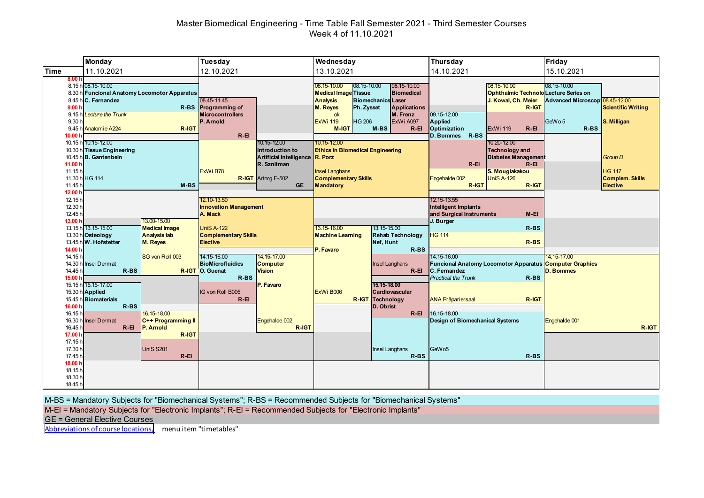# Master Biomedical Engineering - Time Table Fall Semester 2021 - Third Semester Courses Week 4 of 11.10.2021

|                                                                                   | <b>Monday</b>                                                                                                                                 |                                                                               | <b>Tuesday</b>                                                                                                                |                                                                                                                            | Wednesday                                                                                                                                                                     |                                                                                                                                   | <b>Thursday</b>                                                                                        |                                                                                                                                | Friday                                                             |                                                                       |
|-----------------------------------------------------------------------------------|-----------------------------------------------------------------------------------------------------------------------------------------------|-------------------------------------------------------------------------------|-------------------------------------------------------------------------------------------------------------------------------|----------------------------------------------------------------------------------------------------------------------------|-------------------------------------------------------------------------------------------------------------------------------------------------------------------------------|-----------------------------------------------------------------------------------------------------------------------------------|--------------------------------------------------------------------------------------------------------|--------------------------------------------------------------------------------------------------------------------------------|--------------------------------------------------------------------|-----------------------------------------------------------------------|
| <b>Time</b>                                                                       | 11.10.2021                                                                                                                                    |                                                                               | 12.10.2021                                                                                                                    |                                                                                                                            | 13.10.2021                                                                                                                                                                    |                                                                                                                                   | 14.10.2021                                                                                             |                                                                                                                                | 15.10.2021                                                         |                                                                       |
| 8.00 <sub>h</sub><br>9.00h<br>9.15h<br>9.30 <sub>h</sub>                          | 8.15 h 08.15-10.00<br>8.30 h Funcional Anatomy Locomotor Apparatus<br>8.45 h C. Fernandez<br><b>Lecture the Trunk</b><br>9.45 h Anatomie A224 | R-BS<br>R-IGT                                                                 | 08.45-11.45<br><b>Programming of</b><br><b>Microcontrollers</b><br>P. Arnold                                                  |                                                                                                                            | 08.15-10.00<br>$ 08.15 - 10.00 $<br><b>Medical Image Tissue</b><br><b>Analysis</b><br><b>M. Reyes</b><br>Ph. Zysset<br>ok<br><b>HG 206</b><br><b>ExWi 119</b><br><b>M-IGT</b> | 08.15-10.00<br><b>Biomedical</b><br><b>Biomechanics Laser</b><br><b>Applications</b><br>M. Frenz<br>ExWi A097<br>M-BS<br>$R - EI$ | 09.15-12.00<br>Applied<br>Optimization                                                                 | 08.15-10.00<br><b>Ophthalmic Technold Lecture Series on</b><br>J. Kowal, Ch. Meier<br>R-IGT<br><b>ExWi 119</b><br>$R - EI$     | 08.15-10.00<br>Advanced Microscop 08.45-12.00<br>GeWo 5<br>$R$ -BS | <b>Scientific Writing</b><br>S. Milligan                              |
| 10.00 <sub>1</sub><br>11.00 <sub>b</sub><br>11.15h<br>11.45h                      | 10.15 h 10:15-12:00<br>10.30 h Tissue Engineering<br>10.45 h B. Gantenbein<br>11.30 h HG 114                                                  | $M-BS$                                                                        | $R - EI$<br>ExWi B78                                                                                                          | 10.15-12.00<br>Introduction to<br>Artificial Intelligence R. Porz<br>R. Sznitman<br><b>R-IGT</b> Artorg F-502<br><b>GE</b> | 10.15-12.00<br><b>Ethics in Biomedical Engineering</b><br><b>Insel Langhans</b><br><b>Complementary Skills</b><br><b>Mandatory</b>                                            |                                                                                                                                   | R-BS<br><b>D. Bommes</b><br>$R-EI$<br>Engehalde 002<br>R-IGT                                           | 10.20-12.00<br><b>Technology and</b><br><b>Diabetes Management</b><br>$R - EI$<br>S. Mougiakakou<br><b>UniS A-126</b><br>R-IGT |                                                                    | <b>Group B</b><br><b>HG 117</b><br><b>Complem. Skills</b><br>Elective |
| 12.00 $h$<br>12.15 <sub>h</sub><br>12.30 h<br>12.45h<br>13.00 h                   | 13.15 h 13.15-15.00<br>13.30 h Osteology<br>13.45 h W. Hofstetter                                                                             | 13.00-15.00<br><b>Medical Image</b><br><b>Analysis lab</b><br><b>M. Reyes</b> | 12.10-13.50<br><b>Innovation Management</b><br>A. Mack<br><b>UniS A-122</b><br><b>Complementary Skills</b><br><b>Elective</b> |                                                                                                                            | 13.15-16.00<br><b>Machine Learning</b>                                                                                                                                        | 13.15-15.00<br><b>Rehab Technology</b><br>Nef, Hunt                                                                               | 12.15-13.55<br><b>Intelligent Implants</b><br>and Surgical Instruments<br>J. Burger<br><b>HG 114</b>   | $M-EI$<br>$R-BS$<br>$R-BS$                                                                                                     |                                                                    |                                                                       |
| 14.00 h<br>14.15h<br>14.45h<br>15.00 h                                            | 14.30 h Insel Dermat<br>$R-BS$<br>15.15 h 15.15-17.00<br>15.30 h Applied                                                                      | SG von Roll 003                                                               | 14:15-16:00<br><b>BioMicrofluidics</b><br>R-IGT O. Guenat<br>R-BS<br>IG von Roll B005                                         | 14.15-17.00<br><b>Computer</b><br><b>Vision</b><br>P. Favaro                                                               | P. Favaro<br>ExWi B006                                                                                                                                                        | $R-BS$<br><b>Insel Langhans</b><br>$R - EI$<br>15.15-18.00<br>Cardiovascular                                                      | 14.15-16.00<br><b>C.</b> Fernandez<br><b>Practical the Trunk</b>                                       | Funcional Anatomy Locomotor Apparatus Computer Graphics<br>$R$ -BS                                                             | 14.15-17.00<br>D. Bommes                                           |                                                                       |
| 16.00 h<br>16.15h<br>16.30h<br>16.45 <sup>h</sup><br>17.00 h<br>17.15h<br>17.30 h | 15.45 h Biomaterials<br>$R-BS$<br><b>Insel Dermat</b><br>$R - EI$                                                                             | 16.15-18.00<br>C++ Programming II<br>P. Arnold<br>R-IGT<br><b>UniS S201</b>   | $R - EI$                                                                                                                      | Engehalde 002<br>R-IGT                                                                                                     |                                                                                                                                                                               | <b>R-IGT Technology</b><br>D. Obrist<br>$R$ -El<br><b>Insel Langhans</b>                                                          | <b>ANA Präpariersaal</b><br>16.15-18.00<br><b>Design of Biomechanical Systems</b><br>GeW <sub>05</sub> | R-IGT                                                                                                                          | Engehalde 001                                                      | R-IGT                                                                 |
| 17.45 h<br>18.00 h<br>18.15 <sub>h</sub><br>18.30h<br>18.45h                      |                                                                                                                                               | $R - EI$                                                                      |                                                                                                                               |                                                                                                                            |                                                                                                                                                                               | R-BS                                                                                                                              |                                                                                                        | $R$ -BS                                                                                                                        |                                                                    |                                                                       |

M-BS = Mandatory Subjects for "Biomechanical Systems"; R-BS = Recommended Subjects for "Biomechanical Systems"

M-EI = Mandatory Subjects for "Electronic Implants"; R-EI = Recommended Subjects for "Electronic Implants"

GE = General Elective Courses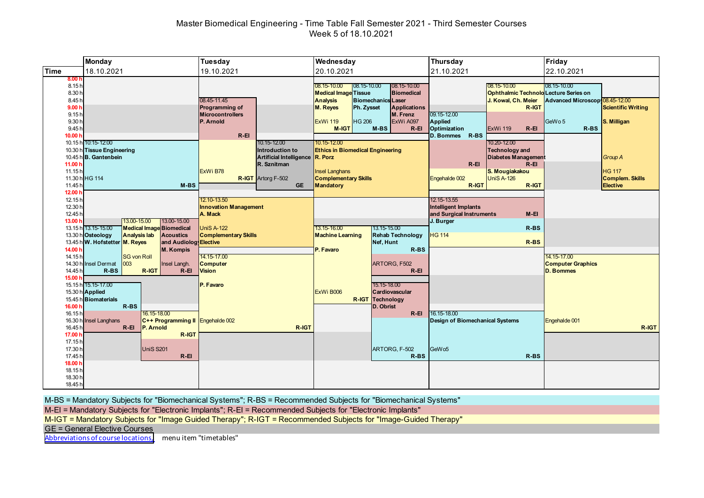# Master Biomedical Engineering - Time Table Fall Semester 2021 - Third Semester Courses Week 5 of 18.10.2021

|                                                                                   | <b>Monday</b>                                                                                                                                                                                                   | Tuesday                                                                                                           | Wednesday                                                                                                                                                                                                                                                                                                                                                       | <b>Thursday</b>                                                                                                                                                                                                                          | Friday                                                                                                        |
|-----------------------------------------------------------------------------------|-----------------------------------------------------------------------------------------------------------------------------------------------------------------------------------------------------------------|-------------------------------------------------------------------------------------------------------------------|-----------------------------------------------------------------------------------------------------------------------------------------------------------------------------------------------------------------------------------------------------------------------------------------------------------------------------------------------------------------|------------------------------------------------------------------------------------------------------------------------------------------------------------------------------------------------------------------------------------------|---------------------------------------------------------------------------------------------------------------|
| <b>Time</b>                                                                       | 18.10.2021                                                                                                                                                                                                      | 19.10.2021                                                                                                        | 20.10.2021                                                                                                                                                                                                                                                                                                                                                      | 21.10.2021                                                                                                                                                                                                                               | 22.10.2021                                                                                                    |
| 8.001<br>8.15h<br>8.30 h<br>8.45h<br>9.00h<br>9.15h<br>9.30h<br>9.45h<br>10.00 h  | 10.15 h 10:15-12:00<br>10.30 h Tissue Engineering                                                                                                                                                               | 08.45-11.45<br>Programming of<br><b>Microcontrollers</b><br>P. Arnold<br>$R-EI$<br>10.15-12.00<br>Introduction to | 08.15-10.00<br>$08.15 - 10.00$<br>08.15-10.00<br><b>Medical Image Tissue</b><br><b>Biomedical</b><br><b>Analysis</b><br><b>Biomechanics Laser</b><br><b>M. Reyes</b><br>Ph. Zysset<br><b>Applications</b><br>M. Frenz<br><b>HG 206</b><br><b>ExWi 119</b><br>ExWi A097<br>$M-BS$<br>$R - EI$<br>M-IGT<br>10.15-12.00<br><b>Ethics in Biomedical Engineering</b> | 08.15-10.00<br><b>Ophthalmic Technold Lecture Series on</b><br>J. Kowal, Ch. Meier<br>R-IGT<br>09.15-12.00<br>Applied<br>Optimization<br>$R - EI$<br><b>ExWi 119</b><br>R-BS<br><b>D. Bommes</b><br>10.20-12.00<br><b>Technology and</b> | 08.15-10.00<br>Advanced Microscop 08.45-12.00<br><b>Scientific Writing</b><br>GeWo 5<br>S. Milligan<br>$R-BS$ |
| 11.00 h<br>11.15h<br>11.45 <sub>h</sub><br>12.00 <sub>h</sub>                     | 10.45 h B. Gantenbein<br>11.30 h HG 114<br>$M-BS$                                                                                                                                                               | Artificial Intelligence R. Porz<br>R. Sznitman<br>ExWi B78<br><b>R-IGT</b> Artorg F-502<br><b>GE</b>              | <b>Insel Langhans</b><br><b>Complementary Skills</b><br>Mandatory                                                                                                                                                                                                                                                                                               | <b>Diabetes Management</b><br>$R-EI$<br>$R-EI$<br>S. Mougiakakou<br><b>UniS A-126</b><br>Engehalde 002<br>R-IGT<br>R-IGT                                                                                                                 | <b>Group A</b><br><b>HG 117</b><br><b>Complem. Skills</b><br>Elective                                         |
| 12.15h<br>12.30 h<br>12.45h<br>13.00 h                                            | 13.00-15.00<br>13.00-15.00<br>13.15 h 13.15-15.00<br><b>Medical Image Biomedical</b><br>13.30 h Osteology<br><b>Analysis lab</b><br><b>Acoustics</b><br>13.45 h W. Hofstetter M. Reyes<br>and Audiolog Elective | 12.10-13.50<br><b>Innovation Management</b><br>A. Mack<br><b>UniS A-122</b><br><b>Complementary Skills</b>        | 13.15-16.00<br>13.15-15.00<br><b>Machine Learning</b><br><b>Rehab Technology</b><br>Nef, Hunt                                                                                                                                                                                                                                                                   | 12.15-13.55<br><b>Intelligent Implants</b><br>and Surgical Instruments<br>$M-EI$<br>J. Burger<br>$R-BS$<br><b>HG 114</b><br>$R$ -BS                                                                                                      |                                                                                                               |
| 14.00 h<br>14.15h<br>14.45h<br>15,00                                              | <b>M. Kompis</b><br><b>SG von Roll</b><br>003<br>14.30 h Insel Dermat<br>Insel Langh.<br>$R$ -BS<br>R-IGT<br>$R - EI$<br>15.15 h 15.15-17.00<br>15.30 h Applied                                                 | 14.15-17.00<br><b>Computer</b><br><b>Vision</b><br>P. Favaro                                                      | P. Favaro<br>$R$ -BS<br>ARTORG, F502<br>$R - EI$<br>15.15-18.00<br>ExWi B006<br>Cardiovascular                                                                                                                                                                                                                                                                  |                                                                                                                                                                                                                                          | 14.15-17.00<br><b>Computer Graphics</b><br><b>D. Bommes</b>                                                   |
| 16.00 h<br>16.15h<br>16.45 <sup>h</sup><br>17.00 h<br>17.15h<br>17.30 h<br>17.45h | 15.45 h Biomaterials<br>R-BS<br>16.15-18.00<br>16.30 h Insel Langhans<br>C++ Programming II Engehalde 002<br>$R-EI$<br>P. Arnold<br>R-IGT<br><b>UniS S201</b><br>$R - EI$                                       | R-IGT                                                                                                             | <b>R-IGT</b> Technology<br>D. Obrist<br>$R - EI$<br>ARTORG, F-502<br>$R$ -BS                                                                                                                                                                                                                                                                                    | 16.15-18.00<br>Design of Biomechanical Systems<br>GeW <sub>05</sub><br>$R$ -BS                                                                                                                                                           | Engehalde 001<br>R-IGT                                                                                        |
| 18.00 h<br>18.15h<br>18.30h<br>18.45h                                             |                                                                                                                                                                                                                 |                                                                                                                   |                                                                                                                                                                                                                                                                                                                                                                 |                                                                                                                                                                                                                                          |                                                                                                               |

M-BS = Mandatory Subjects for "Biomechanical Systems"; R-BS = Recommended Subjects for "Biomechanical Systems"

M-EI = Mandatory Subjects for "Electronic Implants"; R-EI = Recommended Subjects for "Electronic Implants"

M-IGT = Mandatory Subjects for "Image Guided Therapy"; R-IGT = Recommended Subjects for "Image-Guided Therapy"

GE = General Elective Courses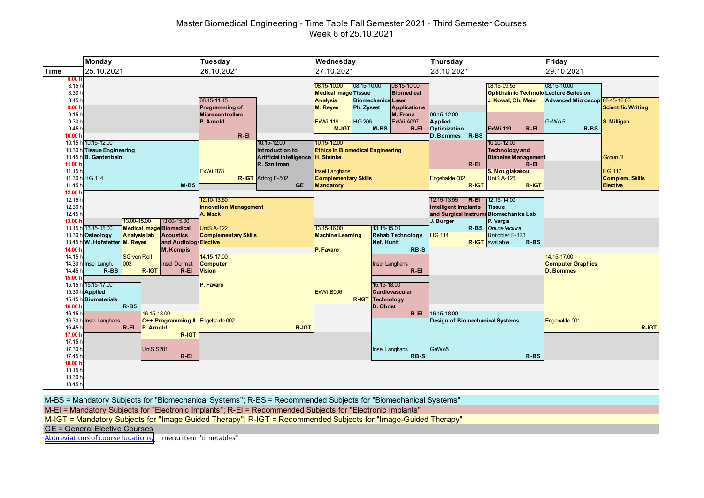# Master Biomedical Engineering - Time Table Fall Semester 2021 - Third Semester Courses Week 6 of 25.10.2021

|                                                                                             | <b>Monday</b>                                                                                                                                                                                                   | Tuesday                                                                                                                    | Wednesday                                                                                                                                                                                                                                                                                                            | Thursday                                                                                                                                                                                                                                                    | Friday                                                                                                                   |
|---------------------------------------------------------------------------------------------|-----------------------------------------------------------------------------------------------------------------------------------------------------------------------------------------------------------------|----------------------------------------------------------------------------------------------------------------------------|----------------------------------------------------------------------------------------------------------------------------------------------------------------------------------------------------------------------------------------------------------------------------------------------------------------------|-------------------------------------------------------------------------------------------------------------------------------------------------------------------------------------------------------------------------------------------------------------|--------------------------------------------------------------------------------------------------------------------------|
| <b>Time</b>                                                                                 | 25.10.2021                                                                                                                                                                                                      | 26.10.2021                                                                                                                 | 27.10.2021                                                                                                                                                                                                                                                                                                           | 28.10.2021                                                                                                                                                                                                                                                  | 29.10.2021                                                                                                               |
| 8.001<br>8.15h<br>8.30 h<br>8.45h<br>9.00h<br>9.15h<br>9.30h<br>9.45h<br>10.00 <sub>b</sub> | 10.15 h 10:15-12:00                                                                                                                                                                                             | 08.45-11.45<br>Programming of<br><b>Microcontrollers</b><br>P. Arnold<br>$R-EI$<br>10.15-12.00                             | 08.15-10.00<br>$08.15 - 10.00$<br>08.15-10.00<br><b>Medical Image Tissue</b><br><b>Biomedical</b><br><b>Analysis</b><br><b>Biomechanics Laser</b><br>M. Reyes<br>Ph. Zysset<br><b>Applications</b><br>M. Frenz<br><b>HG 206</b><br><b>ExWi 119</b><br>ExWi A097<br><b>M-IGT</b><br>$M-BS$<br>$R - EI$<br>10.15-12.00 | 08.15-09.55<br><b>Ophthalmic Technold Lecture Series on</b><br>J. Kowal, Ch. Meier<br>09.15-12.00<br>Applied<br>Optimization<br><b>ExWi 119</b><br>$R - EI$<br>R-BS<br><b>D. Bommes</b><br>10.20-12.00                                                      | 08.15-10.00<br>Advanced Microscop 08.45-12.00<br><b>Scientific Writing</b><br>GeWo <sub>5</sub><br>S. Milligan<br>$R-BS$ |
| 11.00 $h$<br>11.15h<br>11.45 <sub>h</sub>                                                   | 10.30 h Tissue Engineering<br>10.45 h B. Gantenbein<br>11.30 h HG 114<br>$M-BS$                                                                                                                                 | Introduction to<br>Artificial Intelligence H. Steinke<br>R. Sznitman<br>ExWi B78<br><b>R-IGT</b> Artorg F-502<br><b>GE</b> | <b>Ethics in Biomedical Engineering</b><br><b>Insel Langhans</b><br><b>Complementary Skills</b><br>Mandatory                                                                                                                                                                                                         | <b>Technology and</b><br><b>Diabetes Management</b><br>$R - EI$<br>$R - EI$<br>S. Mougiakakou<br><b>UniS A-126</b><br>Engehalde 002<br>R-IGT<br>R-IGT                                                                                                       | <b>Group B</b><br><b>HG 117</b><br><b>Complem. Skills</b><br>Elective                                                    |
| 12.00 h<br>12.15h<br>12.30 h<br>12.45h<br>13.00 h                                           | 13.00-15.00<br>13.00-15.00<br>13.15 h 13.15-15.00<br><b>Medical Image Biomedical</b><br>13.30 h Osteology<br><b>Analysis lab</b><br><b>Acoustics</b><br>13.45 h W. Hofstetter M. Reyes<br>and Audiolog Elective | 12.10-13.50<br><b>Innovation Management</b><br>A. Mack<br><b>UniS A-122</b><br><b>Complementary Skills</b>                 | 13.15-15.00<br>13.15-16.00<br><b>Machine Learning</b><br><b>Rehab Technology</b><br>Nef, Hunt                                                                                                                                                                                                                        | R-EI<br>12.15-13.55<br>12.15-14.00<br><b>Intelligent Implants</b><br><b>Tissue</b><br>and Surgical Instrume Biomechanics Lab<br>J. Burger<br>P. Varga<br><b>R-BS</b> Online lecture<br>Unitobler F-123<br><b>HG 114</b><br><b>R-IGT</b> available<br>$R-BS$ |                                                                                                                          |
| 14.00 h<br>14.15h<br>14.45 h<br>15.00 h                                                     | <b>M. Kompis</b><br><b>SG von Roll</b><br>14.30 h Insel Langh.<br>003<br><b>Insel Dermat</b><br>$R-BS$<br>R-IGT<br>$R - EI$<br>15.15 h 15.15-17.00<br>15.30 h Applied<br>15.45 h Biomaterials                   | 14.15-17.00<br><b>Computer</b><br><b>Vision</b><br>P. Favaro                                                               | RB-S<br>P. Favaro<br><b>Insel Langhans</b><br>$R - EI$<br>15.15-18.00<br>ExWi B006<br>Cardiovascular<br><b>R-IGT</b> Technology                                                                                                                                                                                      |                                                                                                                                                                                                                                                             | 14.15-17.00<br><b>Computer Graphics</b><br><b>D. Bommes</b>                                                              |
| 16.00 h<br>16.15h<br>16.45 h<br>17.00 h<br>17.15h<br>17.30 h<br>17.45h                      | $R - B5$<br>16.15-18.00<br>16.30 h Insel Langhans<br>C++ Programming II Engehalde 002<br>$R-EI$<br>P. Arnold<br>R-IGT<br><b>UniS S201</b><br>$R - EI$                                                           | R-IGT                                                                                                                      | D. Obrist<br>$R - EI$<br>Insel Langhans<br>RB-S                                                                                                                                                                                                                                                                      | 16.15-18.00<br><b>Design of Biomechanical Systems</b><br>GeW <sub>05</sub><br>$R$ -BS                                                                                                                                                                       | Engehalde 001<br>R-IGT                                                                                                   |
| 18.00 h<br>18.15h<br>18.30h<br>18.45h                                                       |                                                                                                                                                                                                                 |                                                                                                                            |                                                                                                                                                                                                                                                                                                                      |                                                                                                                                                                                                                                                             |                                                                                                                          |

M-BS = Mandatory Subjects for "Biomechanical Systems"; R-BS = Recommended Subjects for "Biomechanical Systems"

M-EI = Mandatory Subjects for "Electronic Implants"; R-EI = Recommended Subjects for "Electronic Implants"

M-IGT = Mandatory Subjects for "Image Guided Therapy"; R-IGT = Recommended Subjects for "Image-Guided Therapy"

GE = General Elective Courses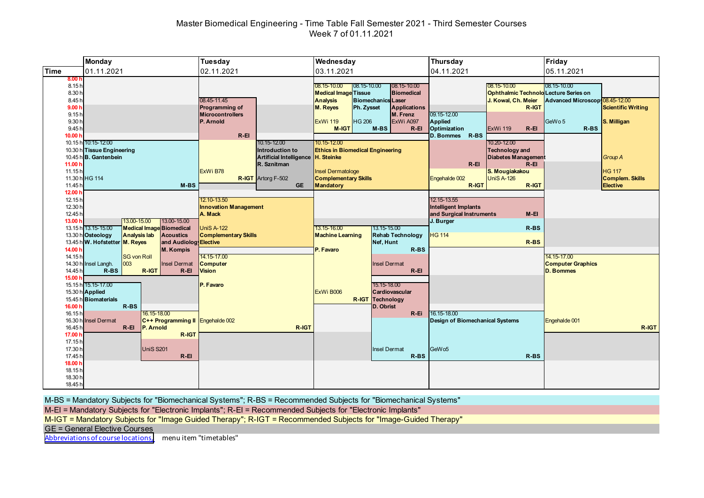# Master Biomedical Engineering - Time Table Fall Semester 2021 - Third Semester Courses Week 7 of 01.11.2021

|                                                                                               | <b>Monday</b>                                                                                                                                                                                                                       | Tuesday                                                                                                                                             | Wednesday                                                                                                                                                                                                                                                                                             | Thursday                                                                                                                                                                      | Friday                                                                                                         |
|-----------------------------------------------------------------------------------------------|-------------------------------------------------------------------------------------------------------------------------------------------------------------------------------------------------------------------------------------|-----------------------------------------------------------------------------------------------------------------------------------------------------|-------------------------------------------------------------------------------------------------------------------------------------------------------------------------------------------------------------------------------------------------------------------------------------------------------|-------------------------------------------------------------------------------------------------------------------------------------------------------------------------------|----------------------------------------------------------------------------------------------------------------|
| <b>Time</b>                                                                                   | 01.11.2021                                                                                                                                                                                                                          | 02.11.2021                                                                                                                                          | 03.11.2021                                                                                                                                                                                                                                                                                            | 04.11.2021                                                                                                                                                                    | 05.11.2021                                                                                                     |
| 8.00 <sub>h</sub><br>8.15h<br>8.30h<br>8.45h<br>9.00 <sub>h</sub><br>9.15h<br>9.30 h<br>9.45h |                                                                                                                                                                                                                                     | 08.45-11.45<br>Programming of<br><b>Microcontrollers</b><br>P. Arnold                                                                               | $08.15 - 10.00$<br>08.15-10.00<br>08.15-10.00<br><b>Medical Image Tissue</b><br><b>Biomedical</b><br><b>Analysis</b><br><b>Biomechanics Laser</b><br><b>M. Reves</b><br>Ph. Zysset<br><b>Applications</b><br>M. Frenz<br><b>HG 206</b><br>ExWi A097<br><b>ExWi 119</b><br>M-IGT<br>$M-BS$<br>$R - EI$ | 08.15-10.00<br>Ophthalmic Technold Lecture Series on<br>J. Kowal, Ch. Meier<br>R-IGT<br>09.15-12.00<br>Applied<br>Optimization<br><b>ExWi 119</b><br>$R - EI$                 | 08.15-10.00<br>Advanced Microscop 08.45-12.00<br><b>Scientific Writing</b><br>GeWo 5<br>S. Milligan<br>$R$ -BS |
| 10.00 h<br>11.00 h<br>11.15h<br>11.45 <sup>h</sup>                                            | 10.15 h 10:15-12:00<br>10.30 h Tissue Engineering<br>10.45 h B. Gantenbein<br>11.30 h HG 114<br>$M-BS$                                                                                                                              | $R-EI$<br>10.15-12.00<br>Introduction to<br>Artificial Intelligence H. Steinke<br>R. Sznitman<br>ExWi B78<br><b>R-IGT</b> Artorg F-502<br><b>GE</b> | 10.15-12.00<br><b>Ethics in Biomedical Engineering</b><br><b>Insel Dermatologe</b><br><b>Complementary Skills</b><br><b>Mandatory</b>                                                                                                                                                                 | D. Bommes R-BS<br>10.20-12.00<br><b>Technology and</b><br>Diabetes Management<br>$R-EI$<br>$R - EI$<br>S. Mougiakakou<br><b>UniS A-126</b><br>Engehalde 002<br>R-IGT<br>R-IGT | <b>Group A</b><br><b>HG 117</b><br><b>Complem. Skills</b><br><b>Elective</b>                                   |
| 12.00 <sub>h</sub><br>12.15h<br>12.30 h<br>12.45 h<br>13.00 h<br>14.00 h                      | 13.00-15.00<br>13.00-15.00<br>13.15 h 13.15-15.00<br><b>Medical Image Biomedical</b><br>13.30 h Osteology<br><b>Analysis lab</b><br><b>Acoustics</b><br>13.45 h W. Hofstetter M. Reyes<br>and Audiolog Elective<br><b>M. Kompis</b> | 12.10-13.50<br><b>Innovation Management</b><br>A. Mack<br><b>UniS A-122</b><br><b>Complementary Skills</b>                                          | 13.15-16.00<br>13.15-15.00<br><b>Rehab Technology</b><br><b>Machine Learning</b><br>Nef, Hunt<br>P. Favaro<br>$R-BS$                                                                                                                                                                                  | 12.15-13.55<br><b>Intelligent Implants</b><br>and Surgical Instruments<br>$M-EI$<br>J. Burger<br>$R$ -BS<br><b>HG 114</b><br>$R$ -BS                                          |                                                                                                                |
| 14.15h<br>14.45h<br>15.00 h<br>16.00 h                                                        | <b>SG von Roll</b><br>14.30 h Insel Langh.<br>003<br><b>Insel Dermat</b><br>$R$ -BS<br>R-IGT<br>$R - EI$<br>15.15 h 15.15-17.00<br>15.30 h Applied<br>15.45 h Biomaterials<br>$R$ -BS                                               | 14.15-17.00<br><b>Computer</b><br><b>Vision</b><br>P. Favaro                                                                                        | <b>Insel Dermat</b><br>$R - EI$<br>15.15-18.00<br>ExWi B006<br>Cardiovascular<br><b>R-IGT Technology</b><br>D. Obrist                                                                                                                                                                                 |                                                                                                                                                                               | 14.15-17.00<br><b>Computer Graphics</b><br><b>D. Bommes</b>                                                    |
| 16.15h<br>16.45 <sup>h</sup><br>17.00 h<br>17.15h<br>17.30 h<br>17.45h                        | 16.15-18.00<br>16.30 h Insel Dermat<br>C++ Programming II Engehalde 002<br>$R - EI$<br>P. Arnold<br>R-IGT<br><b>UniS S201</b><br>$R - EI$                                                                                           | R-IGT                                                                                                                                               | R-Ei<br><b>Insel Dermat</b><br>$R$ -BS                                                                                                                                                                                                                                                                | 16.15-18.00<br><b>Design of Biomechanical Systems</b><br>GeW <sub>05</sub><br>$R$ -BS                                                                                         | Engehalde 001<br>R-IGT                                                                                         |
| 18.00 h<br>18.15h<br>18.30h<br>18.45h                                                         |                                                                                                                                                                                                                                     |                                                                                                                                                     |                                                                                                                                                                                                                                                                                                       |                                                                                                                                                                               |                                                                                                                |

M-BS = Mandatory Subjects for "Biomechanical Systems"; R-BS = Recommended Subjects for "Biomechanical Systems"

M-EI = Mandatory Subjects for "Electronic Implants"; R-EI = Recommended Subjects for "Electronic Implants"

M-IGT = Mandatory Subjects for "Image Guided Therapy"; R-IGT = Recommended Subjects for "Image-Guided Therapy"

GE = General Elective Courses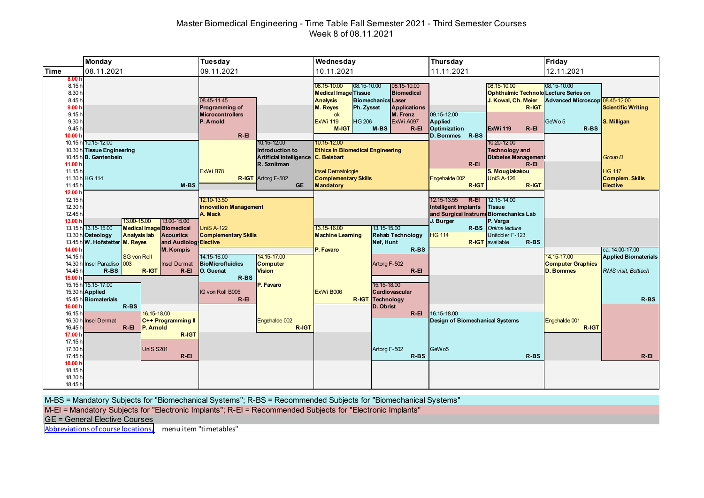# Master Biomedical Engineering - Time Table Fall Semester 2021 - Third Semester Courses Week 8 of 08.11.2021

|                                                                                                                   | <b>Monday</b>                                                                                                                                                                                                                       | Tuesday                                                                                                                                                                                                            | Wednesday                                                                                                                                                                                                                                                                                                                                                                                                                 | Thursday                                                                                                                                                                                                                                                                                                                              | Friday                                                                                                                                                                    |
|-------------------------------------------------------------------------------------------------------------------|-------------------------------------------------------------------------------------------------------------------------------------------------------------------------------------------------------------------------------------|--------------------------------------------------------------------------------------------------------------------------------------------------------------------------------------------------------------------|---------------------------------------------------------------------------------------------------------------------------------------------------------------------------------------------------------------------------------------------------------------------------------------------------------------------------------------------------------------------------------------------------------------------------|---------------------------------------------------------------------------------------------------------------------------------------------------------------------------------------------------------------------------------------------------------------------------------------------------------------------------------------|---------------------------------------------------------------------------------------------------------------------------------------------------------------------------|
| Time                                                                                                              | 08.11.2021                                                                                                                                                                                                                          | 09.11.2021                                                                                                                                                                                                         | 10.11.2021                                                                                                                                                                                                                                                                                                                                                                                                                | 11.11.2021                                                                                                                                                                                                                                                                                                                            | 12.11.2021                                                                                                                                                                |
| 8.00 <sub>h</sub><br>8.15h<br>8.30h<br>8.45h<br>9.00h<br>9.15h<br>9.30 h<br>9.45h<br>10.00 h<br>11.00 h<br>11.15h | 10.15 h 10:15-12:00<br>10.30 h Tissue Engineering<br>10.45 h B. Gantenbein<br>11.30 h HG 114                                                                                                                                        | 08.45-11.45<br>Programming of<br><b>Microcontrollers</b><br>P. Arnold<br>$R - EI$<br>10.15-12.00<br>Introduction to<br>Artificial Intelligence C. Beisbart<br>R. Sznitman<br>ExWi B78<br><b>R-IGT</b> Artorg F-502 | 08.15-10.00<br>$108.15 - 10.00$<br>08.15-10.00<br><b>Medical Image Tissue</b><br><b>Biomedical</b><br><b>Analysis</b><br><b>Biomechanics Laser</b><br>M. Reyes<br>Ph. Zysset<br><b>Applications</b><br>M. Frenz<br>ok<br><b>HG 206</b><br><b>ExWi 119</b><br>ExWi A097<br><b>M-IGT</b><br>M-BS<br>$R - EI$<br>10.15-12.00<br><b>Ethics in Biomedical Engineering</b><br>Insel Dernatologie<br><b>Complementary Skills</b> | 08.15-10.00<br><b>Ophthalmic Technold Lecture Series on</b><br>J. Kowal, Ch. Meier<br>R-IGT<br>09.15-12.00<br>Applied<br>Optimization<br>$R - EI$<br>ExWi 119<br>D. Bommes R-BS<br>10.20-12.00<br><b>Technology and</b><br><b>Diabetes Management</b><br>$R - EI$<br>$R - EI$<br>S. Mougiakakou<br><b>UniS A-126</b><br>Engehalde 002 | $108.15 - 10.00$<br>Advanced Microscop 08.45-12.00<br><b>Scientific Writing</b><br>GeWo 5<br>S. Milligan<br>$R$ -BS<br><b>Group B</b><br><b>HG 117</b><br>Complem. Skills |
| 11.45h                                                                                                            | $M-BS$                                                                                                                                                                                                                              | <b>GE</b>                                                                                                                                                                                                          | <b>Mandatory</b>                                                                                                                                                                                                                                                                                                                                                                                                          | R-IGT<br>R-IGT                                                                                                                                                                                                                                                                                                                        | <b>Elective</b>                                                                                                                                                           |
| 12.00 h<br>12.15h<br>12.30 h<br>12.45h<br>13.00 h<br>14.00 h                                                      | 13.00-15.00<br>13.00-15.00<br><b>Medical Image Biomedical</b><br>13.15 h 13.15-15.00<br>13.30 h Osteology<br><b>Analysis lab</b><br><b>Acoustics</b><br>13.45 h W. Hofstetter M. Reyes<br>and Audiolog Elective<br><b>M. Kompis</b> | 12.10-13.50<br><b>Innovation Management</b><br>A. Mack<br><b>UniS A-122</b><br><b>Complementary Skills</b>                                                                                                         | 13.15-16.00<br>13.15-15.00<br><b>Machine Learning</b><br><b>Rehab Technology</b><br>Nef, Hunt<br>P. Favaro<br>$R$ -BS                                                                                                                                                                                                                                                                                                     | 12.15-13.55<br>R-EI<br>12.15-14.00<br><b>Intelligent Implants</b><br>Tissue<br>and Surgical Instrume Biomechanics Lab<br>J. Burger<br>P. Varga<br>R-BS Online lecture<br>Unitobler F-123<br><b>HG 114</b><br><b>R-IGT</b> available<br>R-BS                                                                                           | ca. 14.00-17.00                                                                                                                                                           |
| 14.15h<br>14.45h<br>15.00 h                                                                                       | <b>SG von Roll</b><br>14.30 h Insel Paradiso 003<br><b>Insel Dermat</b><br>$R$ -BS<br>R-IGT<br>$R - EI$<br>15.15 h 15.15-17.00                                                                                                      | 14:15-16:00<br>14.15-17.00<br>BioMicrofluidics<br><b>Computer</b><br><b>Vision</b><br>O. Guenat<br>R-BS<br>P. Favaro                                                                                               | Artorg F-502<br>$R - EI$<br>15.15-18.00                                                                                                                                                                                                                                                                                                                                                                                   |                                                                                                                                                                                                                                                                                                                                       | 14.15-17.00<br><b>Applied Biomaterials</b><br><b>Computer Graphics</b><br><b>D. Bommes</b><br>RMS visit, Bettlach                                                         |
| 16.00 h<br>16.15h                                                                                                 | 15.30 h Applied<br>15.45 h Biomaterials<br>$R$ -BS<br>16.15-18.00                                                                                                                                                                   | IG von Roll B005<br>$R - EI$                                                                                                                                                                                       | ExWi B006<br>Cardiovascular<br><b>R-IGT</b> Technology<br>D. Obrist<br>$R - EI$                                                                                                                                                                                                                                                                                                                                           | 16.15-18.00                                                                                                                                                                                                                                                                                                                           | $R$ -BS                                                                                                                                                                   |
| 16.30h<br>16.45 <sup>h</sup><br>17.00 h<br>17.15h<br>17.30 h<br>17.45 h                                           | <b>Insel Dermat</b><br>C++ Programming II<br>$R - EI$<br>P. Arnold<br>R-IGT<br><b>UniS S201</b><br>$R - EI$                                                                                                                         | Engehalde 002<br>R-IGT                                                                                                                                                                                             | Artorg F-502<br>R-BS                                                                                                                                                                                                                                                                                                                                                                                                      | <b>Design of Biomechanical Systems</b><br>GeW <sub>05</sub><br>$R$ -BS                                                                                                                                                                                                                                                                | Engehalde 001<br>R-IGT<br>$R - EI$                                                                                                                                        |
| 18.00 h<br>18.15h<br>18.30h<br>18.45h                                                                             |                                                                                                                                                                                                                                     |                                                                                                                                                                                                                    |                                                                                                                                                                                                                                                                                                                                                                                                                           |                                                                                                                                                                                                                                                                                                                                       |                                                                                                                                                                           |

M-BS = Mandatory Subjects for "Biomechanical Systems"; R-BS = Recommended Subjects for "Biomechanical Systems"

M-EI = Mandatory Subjects for "Electronic Implants"; R-EI = Recommended Subjects for "Electronic Implants"

GE = General Elective Courses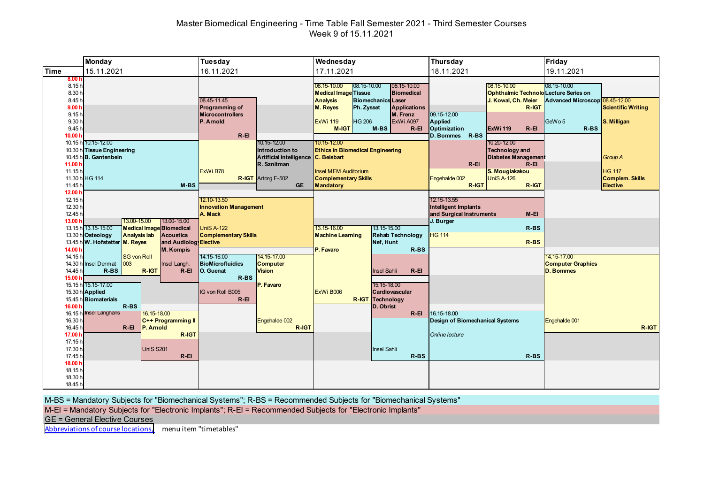# Master Biomedical Engineering - Time Table Fall Semester 2021 - Third Semester Courses Week 9 of 15.11.2021

|                                                                                                                     | <b>Monday</b>                                                                                                                                                                                                   | Tuesday                                                                                                                                                                                      | Wednesday                                                                                                                                                                                                                                                                                                                                                                                        | Thursday                                                                                                                                                                                                                                                                                               | Friday                                                                                                                                            |
|---------------------------------------------------------------------------------------------------------------------|-----------------------------------------------------------------------------------------------------------------------------------------------------------------------------------------------------------------|----------------------------------------------------------------------------------------------------------------------------------------------------------------------------------------------|--------------------------------------------------------------------------------------------------------------------------------------------------------------------------------------------------------------------------------------------------------------------------------------------------------------------------------------------------------------------------------------------------|--------------------------------------------------------------------------------------------------------------------------------------------------------------------------------------------------------------------------------------------------------------------------------------------------------|---------------------------------------------------------------------------------------------------------------------------------------------------|
| Time                                                                                                                | 15.11.2021                                                                                                                                                                                                      | 16.11.2021                                                                                                                                                                                   | 17.11.2021                                                                                                                                                                                                                                                                                                                                                                                       | 18.11.2021                                                                                                                                                                                                                                                                                             | 19.11.2021                                                                                                                                        |
| 8.001<br>8.15h<br>8.30 h<br>8.45h<br>9.00h<br>9.15h<br>9.30 h<br>9.45h<br>10.00 <sub>b</sub><br>11.00 $h$<br>11.15h | 10.15 h 10:15-12:00<br>10.30 h Tissue Engineering<br>10.45 h B. Gantenbein                                                                                                                                      | 08.45-11.45<br>Programming of<br><b>Microcontrollers</b><br><b>P.</b> Arnold<br>$R - EI$<br>10.15-12.00<br>Introduction to<br>Artificial Intelligence C. Beisbart<br>R. Sznitman<br>ExWi B78 | $ 08.15 - 10.00 $<br>08.15-10.00<br>08.15-10.00<br><b>Medical Image Tissue</b><br><b>Biomedical</b><br><b>Biomechanics</b> Laser<br><b>Analysis</b><br>M. Reyes<br>Ph. Zysset<br><b>Applications</b><br>M. Frenz<br><b>HG 206</b><br><b>ExWi 119</b><br>ExWi A097<br>$M-BS$<br><b>M-IGT</b><br>$R - EI$<br>10.15-12.00<br><b>Ethics in Biomedical Engineering</b><br><b>Insel MEM Auditorium</b> | 08.15-10.00<br><b>Ophthalmic Technold Lecture Series on</b><br>J. Kowal, Ch. Meier<br>R-IGT<br>09.15-12.00<br>Applied<br>Optimization<br><b>ExWi 119</b><br>$R - EI$<br>D. Bommes R-BS<br>10.20-12.00<br><b>Technology and</b><br><b>Diabetes Management</b><br>$R - EI$<br>$R - EI$<br>S. Mougiakakou | 08.15-10.00<br>Advanced Microscop 08.45-12.00<br><b>Scientific Writing</b><br>GeWo 5<br>S. Milligan<br>$R$ -BS<br><b>Group A</b><br><b>HG 117</b> |
|                                                                                                                     | 11.30 h HG 114                                                                                                                                                                                                  | <b>R-IGT</b> Artorg F-502                                                                                                                                                                    | <b>Complementary Skills</b>                                                                                                                                                                                                                                                                                                                                                                      | <b>UniS A-126</b><br>Engehalde 002                                                                                                                                                                                                                                                                     | <b>Complem. Skills</b>                                                                                                                            |
| 11.45 <sup>h</sup><br>12.00 <sub>1</sub>                                                                            | $M-BS$                                                                                                                                                                                                          | GE.                                                                                                                                                                                          | <b>Mandatory</b>                                                                                                                                                                                                                                                                                                                                                                                 | R-IGT<br>R-IGT                                                                                                                                                                                                                                                                                         | Elective                                                                                                                                          |
| 12.15h<br>12.30 h<br>12.45 h<br>13.00 h                                                                             | 13.00-15.00<br>13.00-15.00<br>13.15 h 13.15-15.00<br><b>Medical Image Biomedical</b><br>13.30 h Osteology<br><b>Analysis lab</b><br><b>Acoustics</b><br>13.45 h W. Hofstetter M. Reyes<br>and Audiolog Elective | 12.10-13.50<br><b>Innovation Management</b><br>A. Mack<br><b>UniS A-122</b><br><b>Complementary Skills</b>                                                                                   | 13.15-15.00<br>13.15-16.00<br><b>Machine Learning</b><br><b>Rehab Technology</b><br>Nef, Hunt                                                                                                                                                                                                                                                                                                    | 12.15-13.55<br><b>Intelligent Implants</b><br>and Surgical Instruments<br>$M-EI$<br>J. Burger<br>$R-BS$<br><b>HG 114</b><br>$R-BS$                                                                                                                                                                     |                                                                                                                                                   |
| 14.00 h<br>14.15h<br>14.30 h<br>14.45h<br>15.00 h                                                                   | M. Kompis<br><b>SG von Roll</b><br>003<br>Insel Dermat<br>Insel Langh.<br>$R-BS$<br>R-IGT<br>$R - EI$<br>15.15 h 15.15-17.00                                                                                    | 14:15-16:00<br>14.15-17.00<br><b>BioMicrofluidics</b><br><b>Computer</b><br>O. Guenat<br><b>Vision</b><br>R-BS<br>P. Favaro                                                                  | P. Favaro<br>R-BS<br><b>Insel Sahli</b><br>$R - EI$<br>15.15-18.00                                                                                                                                                                                                                                                                                                                               |                                                                                                                                                                                                                                                                                                        | 14.15-17.00<br><b>Computer Graphics</b><br><b>D. Bommes</b>                                                                                       |
| 16.00 h<br>16.15h<br>16.30 h<br>16.45h<br>17.00 h<br>17.15h                                                         | 15.30 h Applied<br>15.45 h Biomaterials<br>R-BS<br><b>Insel Langhans</b><br>16.15-18.00<br>C++ Programming II<br>$R$ -El<br>P. Arnold<br>R-IGT                                                                  | IG von Roll B005<br>$R - EI$<br>Engehalde 002<br>R-IGT                                                                                                                                       | ExWi B006<br>Cardiovascular<br><b>R-IGT</b> Technology<br>D. Obrist<br>$R - EI$                                                                                                                                                                                                                                                                                                                  | 16.15-18.00<br>Design of Biomechanical Systems<br>Online lecture                                                                                                                                                                                                                                       | Engehalde 001<br>R-IGT                                                                                                                            |
| 17.30 h<br>17.45h<br>18.00 h<br>18.15h<br>18.30 h<br>18.45h                                                         | <b>UniS S201</b><br>$R - EI$                                                                                                                                                                                    |                                                                                                                                                                                              | <b>Insel Sahli</b><br>$R$ -BS                                                                                                                                                                                                                                                                                                                                                                    | $R-BS$                                                                                                                                                                                                                                                                                                 |                                                                                                                                                   |

M-BS = Mandatory Subjects for "Biomechanical Systems"; R-BS = Recommended Subjects for "Biomechanical Systems"

M-EI = Mandatory Subjects for "Electronic Implants"; R-EI = Recommended Subjects for "Electronic Implants"

GE = General Elective Courses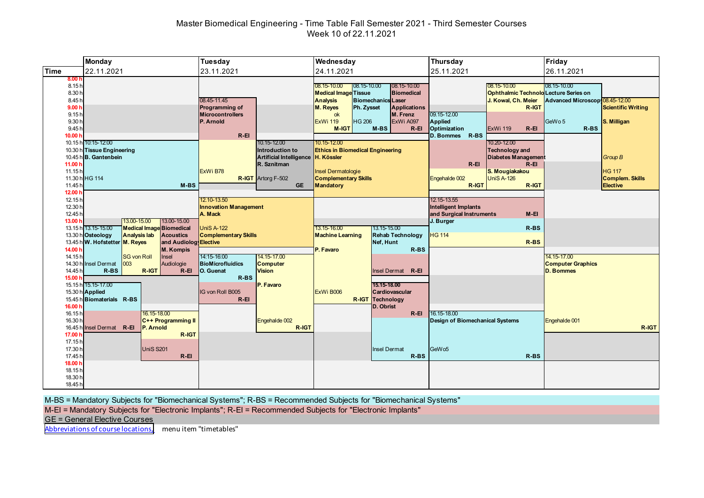# Master Biomedical Engineering - Time Table Fall Semester 2021 - Third Semester Courses Week 10 of 22.11.2021

|                                                                                                                              | <b>Monday</b>                                                                                                                | Tuesday                                                                                                                                                                              | Wednesday                                                                                                                                                                                                                                                                                                                                                                            | Thursday                                                                                                                                                                                                                                                                                               | Friday                                                                                                                                            |
|------------------------------------------------------------------------------------------------------------------------------|------------------------------------------------------------------------------------------------------------------------------|--------------------------------------------------------------------------------------------------------------------------------------------------------------------------------------|--------------------------------------------------------------------------------------------------------------------------------------------------------------------------------------------------------------------------------------------------------------------------------------------------------------------------------------------------------------------------------------|--------------------------------------------------------------------------------------------------------------------------------------------------------------------------------------------------------------------------------------------------------------------------------------------------------|---------------------------------------------------------------------------------------------------------------------------------------------------|
| Time                                                                                                                         | 22.11.2021                                                                                                                   | 23.11.2021                                                                                                                                                                           | 24.11.2021                                                                                                                                                                                                                                                                                                                                                                           | 25.11.2021                                                                                                                                                                                                                                                                                             | 26.11.2021                                                                                                                                        |
| 8.00 <sub>h</sub><br>8.15h<br>8.30h<br>8.45h<br>9.00h<br>9.15h<br>9.30 h<br>9.45h<br>10.00 h<br>11.00 <sub>b</sub><br>11.15h | 10.15 h 10:15-12:00<br>10.30 h Tissue Engineering<br>10.45 h B. Gantenbein                                                   | 08.45-11.45<br>Programming of<br><b>Microcontrollers</b><br>P. Arnold<br>$R - EI$<br>10.15-12.00<br>Introduction to<br>Artificial Intelligence H. Kössler<br>R. Sznitman<br>ExWi B78 | $ 08.15 - 10.00 $<br>08.15-10.00<br>08.15-10.00<br><b>Biomedical</b><br><b>Medical Image Tissue</b><br><b>Analysis</b><br><b>Biomechanics</b> Laser<br>M. Reyes<br><b>Applications</b><br>Ph. Zysset<br>M. Frenz<br>ok<br><b>HG 206</b><br>ExWi 119<br>ExWi A097<br><b>M-IGT</b><br>M-BS<br>$R - EI$<br>10.15-12.00<br><b>Ethics in Biomedical Engineering</b><br>Insel Dermatologie | 08.15-10.00<br><b>Ophthalmic Technold Lecture Series on</b><br>J. Kowal, Ch. Meier<br>R-IGT<br>09.15-12.00<br>Applied<br>Optimization<br><b>ExWi 119</b><br>$R - EI$<br>D. Bommes R-BS<br>10.20-12.00<br><b>Technology and</b><br><b>Diabetes Management</b><br>$R - EI$<br>$R - EI$<br>S. Mougiakakou | 08.15-10.00<br>Advanced Microscop 08.45-12.00<br><b>Scientific Writing</b><br>GeWo 5<br>S. Milligan<br>$R$ -BS<br><b>Group B</b><br><b>HG 117</b> |
|                                                                                                                              | 11.30 h HG 114                                                                                                               | <b>R-IGT</b> Artorg F-502                                                                                                                                                            | <b>Complementary Skills</b>                                                                                                                                                                                                                                                                                                                                                          | <b>UniS A-126</b><br>Engehalde 002                                                                                                                                                                                                                                                                     | Complem. Skills                                                                                                                                   |
| 11.45h<br>12.00 h                                                                                                            | $M-BS$                                                                                                                       | <b>GE</b>                                                                                                                                                                            | <b>Mandatory</b>                                                                                                                                                                                                                                                                                                                                                                     | R-IGT<br>R-IGT                                                                                                                                                                                                                                                                                         | Elective                                                                                                                                          |
| 12.15h<br>12.30 h<br>12.45 h<br>13.00 h                                                                                      | 13.00-15.00<br>13.00-15.00<br>13.15 h 13.15-15.00<br><b>Medical Image Biomedical</b>                                         | 12.10-13.50<br><b>Innovation Management</b><br>A. Mack<br><b>UniS A-122</b>                                                                                                          | 13.15-16.00<br>13.15-15.00                                                                                                                                                                                                                                                                                                                                                           | 12.15-13.55<br><b>Intelligent Implants</b><br>and Surgical Instruments<br>$M-EI$<br>J. Burger<br>$R-BS$                                                                                                                                                                                                |                                                                                                                                                   |
|                                                                                                                              | <b>Analysis lab</b><br>13.30 h Osteology<br><b>Acoustics</b>                                                                 | <b>Complementary Skills</b>                                                                                                                                                          | <b>Rehab Technology</b><br><b>Machine Learning</b>                                                                                                                                                                                                                                                                                                                                   | <b>HG 114</b>                                                                                                                                                                                                                                                                                          |                                                                                                                                                   |
|                                                                                                                              | 13.45 h W. Hofstetter M. Reyes<br>and Audiolog Elective                                                                      |                                                                                                                                                                                      | Nef, Hunt                                                                                                                                                                                                                                                                                                                                                                            | $R$ -BS                                                                                                                                                                                                                                                                                                |                                                                                                                                                   |
| 14.00 h<br>14.15h<br>14.45h<br>15.00 h                                                                                       | <b>M. Kompis</b><br><b>SG von Roll</b><br>Insel<br>14.30 h Insel Dermat<br>003<br>Audiologie<br>$R$ -BS<br>R-IGT<br>$R - EI$ | 14:15-16:00<br>14.15-17.00<br>BioMicrofluidics<br><b>Computer</b><br>O. Guenat<br><b>Vision</b><br>R-BS                                                                              | P. Favaro<br>$R$ -BS<br><b>Insel Dermat</b><br>$R - EI$                                                                                                                                                                                                                                                                                                                              |                                                                                                                                                                                                                                                                                                        | 14.15-17.00<br><b>Computer Graphics</b><br><b>D. Bommes</b>                                                                                       |
| 16.00 h                                                                                                                      | 15.15 h 15.15-17.00<br>15.30 h Applied<br>15.45 h Biomaterials R-BS                                                          | P. Favaro<br>IG von Roll B005<br>$R - EI$                                                                                                                                            | 15.15-18.00<br>ExWi B006<br>Cardiovascular<br><b>R-IGT Technology</b><br>D. Obrist                                                                                                                                                                                                                                                                                                   |                                                                                                                                                                                                                                                                                                        |                                                                                                                                                   |
| 16.15h<br>16.30 h<br>16.45h<br>17.00 h                                                                                       | 16.15-18.00<br>C++ Programming II<br>Insel Dermat R-EI<br>P. Arnold<br>R-IGT                                                 | Engehalde 002<br>R-IGT                                                                                                                                                               | $R - EI$                                                                                                                                                                                                                                                                                                                                                                             | 16.15-18.00<br><b>Design of Biomechanical Systems</b>                                                                                                                                                                                                                                                  | Engehalde 001<br>R-IGT                                                                                                                            |
| 17.15h<br>17.30 h<br>17.45h                                                                                                  | <b>UniS S201</b><br>$R - EI$                                                                                                 |                                                                                                                                                                                      | <b>Insel Dermat</b><br>$R$ -BS                                                                                                                                                                                                                                                                                                                                                       | GeW <sub>05</sub><br>$R-BS$                                                                                                                                                                                                                                                                            |                                                                                                                                                   |
| 18.00 h<br>18.15h<br>18.30 h<br>18.45h                                                                                       |                                                                                                                              |                                                                                                                                                                                      |                                                                                                                                                                                                                                                                                                                                                                                      |                                                                                                                                                                                                                                                                                                        |                                                                                                                                                   |

M-BS = Mandatory Subjects for "Biomechanical Systems"; R-BS = Recommended Subjects for "Biomechanical Systems"

M-EI = Mandatory Subjects for "Electronic Implants"; R-EI = Recommended Subjects for "Electronic Implants"

GE = General Elective Courses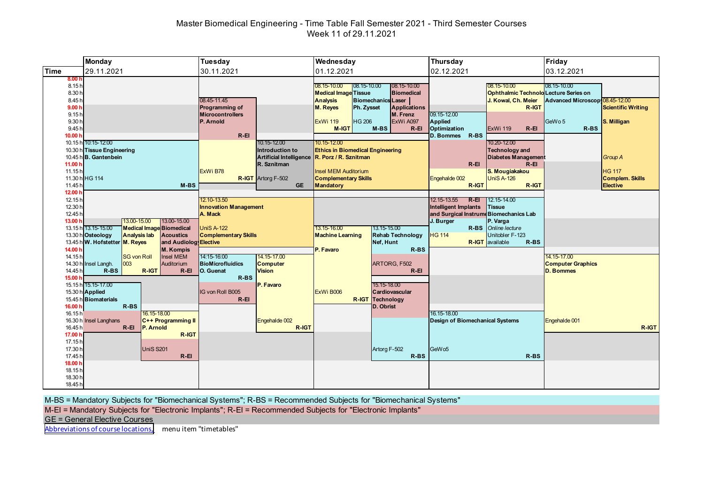# Master Biomedical Engineering - Time Table Fall Semester 2021 - Third Semester Courses Week 11 of 29.11.2021

|                                                                                                                              | <b>Monday</b>                                                                                                                                                                                                                       | Tuesday                                                                                                                                                                     | Wednesday                                                                                                                                                                                                                                                                                                                                                                                                                                                                             | Thursday                                                                                                                                                                                                                                                                                                                                     | Friday                                                                                                                                                               |
|------------------------------------------------------------------------------------------------------------------------------|-------------------------------------------------------------------------------------------------------------------------------------------------------------------------------------------------------------------------------------|-----------------------------------------------------------------------------------------------------------------------------------------------------------------------------|---------------------------------------------------------------------------------------------------------------------------------------------------------------------------------------------------------------------------------------------------------------------------------------------------------------------------------------------------------------------------------------------------------------------------------------------------------------------------------------|----------------------------------------------------------------------------------------------------------------------------------------------------------------------------------------------------------------------------------------------------------------------------------------------------------------------------------------------|----------------------------------------------------------------------------------------------------------------------------------------------------------------------|
| <b>Time</b>                                                                                                                  | 29.11.2021                                                                                                                                                                                                                          | 30.11.2021                                                                                                                                                                  | 01.12.2021                                                                                                                                                                                                                                                                                                                                                                                                                                                                            | 02.12.2021                                                                                                                                                                                                                                                                                                                                   | 03.12.2021                                                                                                                                                           |
| 8.00 <sub>h</sub><br>8.15h<br>8.30h<br>8.45h<br>9.00h<br>9.15h<br>9.30 h<br>9.45h<br>10.00 h<br>11.00 <sub>h</sub><br>11.15h | 10.15 h 10:15-12:00<br>10.30 h Tissue Engineering<br>10.45 h B. Gantenbein<br>11.30 h HG 114                                                                                                                                        | 08.45-11.45<br>Programming of<br><b>Microcontrollers</b><br>P. Arnold<br>$R - EI$<br>10.15-12.00<br>Introduction to<br>R. Sznitman<br>ExWi B78<br><b>R-IGT</b> Artorg F-502 | $ 08.15 - 10.00 $<br>08.15-10.00<br>08.15-10.00<br><b>Biomedical</b><br><b>Medical Image Tissue</b><br><b>Analysis</b><br><b>Biomechanics Laser</b><br><b>M. Reyes</b><br><b>Applications</b><br>Ph. Zysset<br>M. Frenz<br><b>HG 206</b><br><b>ExWi 119</b><br>ExWi A097<br>M-BS<br><b>M-IGT</b><br>$R - EI$<br>10.15-12.00<br><b>Ethics in Biomedical Engineering</b><br>Artificial Intelligence R. Porz / R. Sznitman<br><b>Insel MEM Auditorium</b><br><b>Complementary Skills</b> | 08.15-10.00<br><b>Ophthalmic Technold Lecture Series on</b><br>J. Kowal, Ch. Meier<br>R-IGT<br>09.15-12.00<br>Applied<br>Optimization<br><b>ExWi 119</b><br>$R - EI$<br>D. Bommes R-BS<br>10.20-12.00<br><b>Technology and</b><br><b>Diabetes Management</b><br>$R - EI$<br>$R - EI$<br>S. Mougiakakou<br><b>UniS A-126</b><br>Engehalde 002 | 08.15-10.00<br>Advanced Microscop 08.45-12.00<br><b>Scientific Writing</b><br>GeWo 5<br>S. Milligan<br>$R$ -BS<br><b>Group A</b><br><b>HG 117</b><br>Complem. Skills |
| 11.45h                                                                                                                       | $M-BS$                                                                                                                                                                                                                              | <b>GE</b>                                                                                                                                                                   | <b>Mandatory</b>                                                                                                                                                                                                                                                                                                                                                                                                                                                                      | R-IGT<br>R-IGT                                                                                                                                                                                                                                                                                                                               | Elective                                                                                                                                                             |
| 12.00 h<br>12.15h<br>12.30 h<br>12.45 h<br>13.00 h<br>14.00 h                                                                | 13.00-15.00<br>13.00-15.00<br>13.15 h 13.15-15.00<br><b>Medical Image Biomedical</b><br>13.30 h Osteology<br><b>Analysis lab</b><br><b>Acoustics</b><br>13.45 h W. Hofstetter M. Reyes<br>and Audiolog Elective<br><b>M. Kompis</b> | 12.10-13.50<br><b>Innovation Management</b><br>A. Mack<br><b>UniS A-122</b><br><b>Complementary Skills</b>                                                                  | 13.15-16.00<br>13.15-15.00<br><b>Machine Learning</b><br><b>Rehab Technology</b><br>Nef, Hunt<br>P. Favaro<br>$R$ -BS                                                                                                                                                                                                                                                                                                                                                                 | 12.15-13.55<br>$R - EI$<br>12.15-14.00<br><b>Intelligent Implants</b><br><b>Tissue</b><br>and Surgical Instrume Biomechanics Lab<br>J. Burger<br>P. Varga<br>R-BS Online lecture<br>Unitobler F-123<br><b>HG 114</b><br><b>R-IGT</b> available<br>R-BS                                                                                       |                                                                                                                                                                      |
| 14.15h<br>14.45h<br>15.00 h                                                                                                  | <b>SG von Roll</b><br><b>Insel MEM</b><br>14.30 h Insel Langh.<br>003<br>Auditorium<br>$R$ -BS<br>R-IGT<br>$R - EI$<br>15.15 h 15.15-17.00<br>15.30 h Applied<br>15.45 h Biomaterials                                               | 14:15-16:00<br>14.15-17.00<br>BioMicrofluidics<br><b>Computer</b><br>IO. Guenat<br><b>Vision</b><br>R-BS<br>P. Favaro<br>IG von Roll B005<br>$R - EI$                       | ARTORG, F502<br>$R - EI$<br>15.15-18.00<br>ExWi B006<br>Cardiovascular<br><b>R-IGT</b> Technology                                                                                                                                                                                                                                                                                                                                                                                     |                                                                                                                                                                                                                                                                                                                                              | 14.15-17.00<br><b>Computer Graphics</b><br><b>D. Bommes</b>                                                                                                          |
| 16.00 h<br>16.15h<br>16.45h<br>17.00 h<br>17.15h<br>17.30 h                                                                  | R-BS<br>16.15-18.00<br>16.30 h Insel Langhans<br>C++ Programming II<br>$R-EI$<br>P. Arnold<br>R-IGT<br><b>UniS S201</b>                                                                                                             | Engehalde 002<br>R-IGT                                                                                                                                                      | D. Obrist<br>Artorg F-502                                                                                                                                                                                                                                                                                                                                                                                                                                                             | 16.15-18.00<br><b>Design of Biomechanical Systems</b><br>GeW <sub>05</sub>                                                                                                                                                                                                                                                                   | Engehalde 001<br>R-IGT                                                                                                                                               |
| 17.45h<br>18.00 h<br>18.15h<br>18.30 h<br>18.45h                                                                             | $R - EI$                                                                                                                                                                                                                            |                                                                                                                                                                             | R-BS                                                                                                                                                                                                                                                                                                                                                                                                                                                                                  | $R-BS$                                                                                                                                                                                                                                                                                                                                       |                                                                                                                                                                      |

M-BS = Mandatory Subjects for "Biomechanical Systems"; R-BS = Recommended Subjects for "Biomechanical Systems"

M-EI = Mandatory Subjects for "Electronic Implants"; R-EI = Recommended Subjects for "Electronic Implants"

GE = General Elective Courses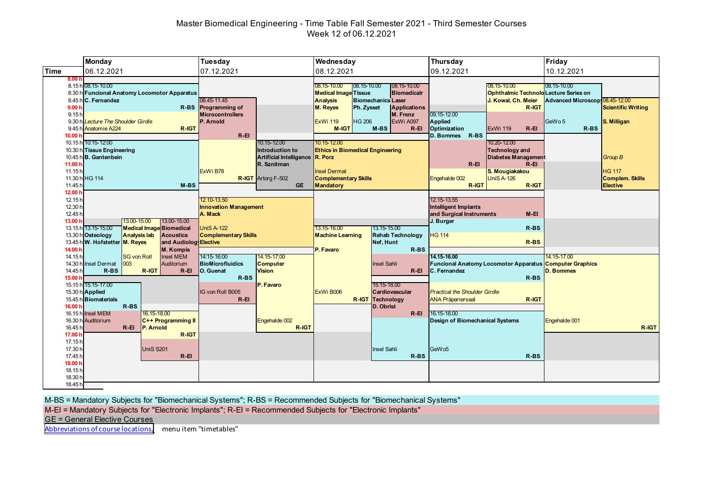# Master Biomedical Engineering - Time Table Fall Semester 2021 - Third Semester Courses Week 12 of 06.12.2021

|                                                              | <b>Monday</b>                                                                                                                                                                     | Tuesday                                                                                                 | Wednesday                                                                                                                                                                                       | Thursday                                                                                                     | Friday                                                                     |
|--------------------------------------------------------------|-----------------------------------------------------------------------------------------------------------------------------------------------------------------------------------|---------------------------------------------------------------------------------------------------------|-------------------------------------------------------------------------------------------------------------------------------------------------------------------------------------------------|--------------------------------------------------------------------------------------------------------------|----------------------------------------------------------------------------|
| <b>Time</b>                                                  | 06.12.2021                                                                                                                                                                        | 07.12.2021                                                                                              | 08.12.2021                                                                                                                                                                                      | 09.12.2021                                                                                                   | 10.12.2021                                                                 |
| 8.00 <sub>h</sub><br>9.00 <sub>h</sub>                       | 8.15 h 08.15-10.00<br>8.30 h Funcional Anatomy Locomotor Apparatus<br>8.45 h C. Fernandez                                                                                         | 08.45-11.45<br>R-BS Programming of                                                                      | 08.15-10.00<br>08.15-10.00<br>08.15-10.00<br><b>Medical Image Tissue</b><br><b>Biomedicalr</b><br><b>Biomechanics Laser</b><br><b>Analysis</b><br>M. Reyes<br>Ph. Zysset<br><b>Applications</b> | 08.15-10.00<br>Ophthalmic Technold Lecture Series on<br>J. Kowal, Ch. Meier<br>R-IGT                         | 08.15-10.00<br>Advanced Microscop 08.45-12.00<br><b>Scientific Writing</b> |
| 9.15 <sub>h</sub><br>10.00 <sub>1</sub>                      | 9.30 h Lecture The Shoulder Girdle<br>9.45 h Anatomie A224<br>R-IGT                                                                                                               | <b>Microcontrollers</b><br>P. Arnold<br>$R-EI$                                                          | M. Frenz<br><b>HG 206</b><br>ExWi A097<br><b>ExWi 119</b><br>M-IGT<br>$M-BS$<br>$R$ -El                                                                                                         | 09.15-12.00<br>Applied<br>Optimization<br><b>ExWi 119</b><br>$R - EI$<br>$R-BS$<br><b>D. Bommes</b>          | GeWo 5<br>S. Milligan<br>R-BS                                              |
| 11.00 <sub>b</sub><br>11.15h                                 | 10.15 h 10:15-12:00<br>10.30 h Tissue Engineering<br>10.45 h B. Gantenbein                                                                                                        | 10.15-12.00<br>Introduction to<br>Artificial Intelligence R. Porz<br>R. Sznitman<br>ExWi B78            | 10.15-12.00<br><b>Ethics in Biomedical Engineering</b><br><b>Insel Dermat</b>                                                                                                                   | 10.20-12.00<br><b>Technology and</b><br><b>Diabetes Management</b><br>$R - EI$<br>$R - EI$<br>S. Mougiakakou | <b>Group B</b><br><b>HG 117</b>                                            |
| 11.45 <sup>h</sup><br>12.00 h                                | 11.30 h HG 114<br>$M-BS$                                                                                                                                                          | <b>R-IGT</b> Artorg F-502<br><b>GE</b>                                                                  | <b>Complementary Skills</b><br><b>Mandatory</b>                                                                                                                                                 | <b>UniS A-126</b><br>Engehalde 002<br>R-IGT<br>R-IGT                                                         | <b>Complem. Skills</b><br><b>Elective</b>                                  |
| 12.15h<br>12.30 h<br>12.45h<br>13.00 h                       | 13.00-15.00<br>13.00-15.00                                                                                                                                                        | 12.10-13.50<br><b>Innovation Management</b><br>A. Mack                                                  |                                                                                                                                                                                                 | 12.15-13.55<br><b>Intelligent Implants</b><br>$M-EI$<br>and Surgical Instruments<br>J. Burger                |                                                                            |
|                                                              | 13.15 h 13.15-15.00<br><b>Medical Image Biomedical</b><br><b>Acoustics</b><br>13.30 h Osteology<br><b>Analysis lab</b><br>13.45 h W. Hofstetter M. Reyes<br>and Audiolog Elective | <b>UniS A-122</b><br><b>Complementary Skills</b>                                                        | 13.15-16.00<br>13.15-15.00<br><b>Rehab Technology</b><br><b>Machine Learning</b><br>Nef. Hunt                                                                                                   | $R-BS$<br><b>HG 114</b><br>$R$ -BS                                                                           |                                                                            |
| 14.00 h<br>14.15h<br>14.45h<br>15.00 h                       | <b>M. Kompis</b><br><b>SG von Roll</b><br><b>Insel MEM</b><br>14.30 h Insel Dermat<br>003<br>Auditorium<br>$R$ -BS<br>R-IGT<br>$R - EI$                                           | 14:15-16:00<br>14.15-17.00<br>BioMicrofluidics<br><b>Computer</b><br>O. Guenat<br><b>Vision</b><br>R-BS | $R$ -BS<br>P. Favaro<br><b>Insel Sahli</b><br>$R - EI$                                                                                                                                          | 14.15-16.00<br>Funcional Anatomy Locomotor Apparatus Computer Graphics<br><b>C.</b> Fernandez<br>$R-BS$      | 14.15-17.00<br>D. Bommes                                                   |
| 16.00 h                                                      | 15.15 h 15.15-17.00<br>15.30 h Applied<br>15.45 h Biomaterials<br>$R$ -BS<br>16.15 h Insel MEM<br>16.15-18.00                                                                     | P. Favaro<br><b>IG von Roll B005</b><br>$R - EI$                                                        | 15.15-18.00<br>ExWi B006<br>Cardiovascular<br><b>R-IGT Technology</b><br>D. Obrist<br>$R - EI$                                                                                                  | <b>Practical the Shoulder Girdle</b><br>R-IGT<br><b>ANA Präpariersaal</b><br>16.15-18.00                     |                                                                            |
| 16.45 h<br>17.00 h<br>17.15 <sub>h</sub>                     | 16.30 h Auditorium<br>C++ Programming II<br>$R - EI$<br>P. Arnold<br>R-IGT                                                                                                        | Engehalde 002<br>R-IGT                                                                                  |                                                                                                                                                                                                 | <b>Design of Biomechanical Systems</b>                                                                       | Engehalde 001<br>R-IGT                                                     |
| 17.30 h<br>17.45 h<br>18.00 h<br>18.15h<br>18.30 h<br>18.45h | <b>UniS S201</b><br>$R - EI$                                                                                                                                                      |                                                                                                         | <b>Insel Sahli</b><br>$R$ -BS                                                                                                                                                                   | GeW <sub>05</sub><br>$R-BS$                                                                                  |                                                                            |

M-BS = Mandatory Subjects for "Biomechanical Systems"; R-BS = Recommended Subjects for "Biomechanical Systems"

M-EI = Mandatory Subjects for "Electronic Implants"; R-EI = Recommended Subjects for "Electronic Implants"

GE = General Elective Courses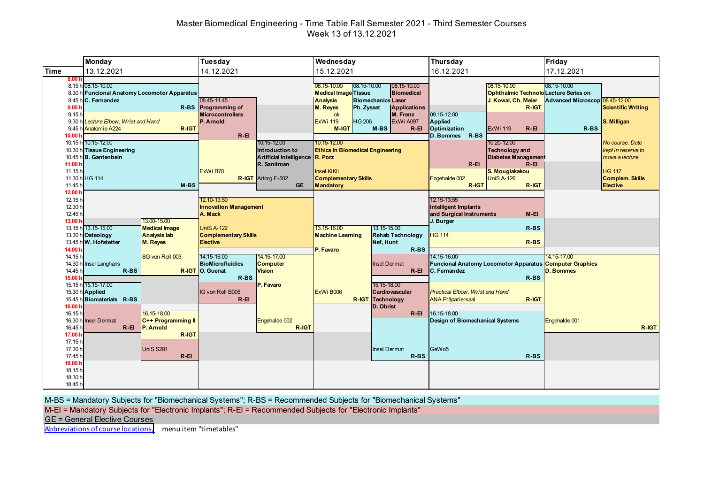# Master Biomedical Engineering - Time Table Fall Semester 2021 - Third Semester Courses Week 13 of 13.12.2021

|                                                                          | <b>Monday</b>                                                                                                                               |                                                         | Tuesday                                                                                                                       |                                                                                                                            | Wednesday                                                                                                                                            |                                                                                                               | Thursday                                                                                                                            |                                                                                                                                                              | Friday                                        |                                                                                                                       |
|--------------------------------------------------------------------------|---------------------------------------------------------------------------------------------------------------------------------------------|---------------------------------------------------------|-------------------------------------------------------------------------------------------------------------------------------|----------------------------------------------------------------------------------------------------------------------------|------------------------------------------------------------------------------------------------------------------------------------------------------|---------------------------------------------------------------------------------------------------------------|-------------------------------------------------------------------------------------------------------------------------------------|--------------------------------------------------------------------------------------------------------------------------------------------------------------|-----------------------------------------------|-----------------------------------------------------------------------------------------------------------------------|
| <b>Time</b>                                                              | 13.12.2021                                                                                                                                  |                                                         | 14.12.2021                                                                                                                    |                                                                                                                            | 15.12.2021                                                                                                                                           |                                                                                                               | 16.12.2021                                                                                                                          |                                                                                                                                                              | 17.12.2021                                    |                                                                                                                       |
| 8.00h<br>9.00h<br>9.15 <sub>h</sub>                                      | 8.15 h 08.15-10.00<br>8.30 h Funcional Anatomy Locomotor Apparatus<br>8.45 h C. Fernandez<br>9.30 h Lecture Elbow. Wrist and Hand           |                                                         | 08.45-11.45<br>R-BS Programming of<br><b>Microcontrollers</b><br>P. Arnold                                                    |                                                                                                                            | $08.15 - 10.00$<br>08.15-10.00<br><b>Medical Image Tissue</b><br><b>Analysis</b><br>M. Reyes<br>Ph. Zysset<br>ok<br><b>HG 206</b><br><b>ExWi 119</b> | 08.15-10.00<br><b>Biomedical</b><br><b>Biomechanics Laser</b><br><b>Applications</b><br>M. Frenz<br>ExWi A097 | 09.15-12.00<br>Applied                                                                                                              | 08.15-10.00<br><b>Ophthalmic Technold Lecture Series on</b><br>J. Kowal, Ch. Meier<br>R-IGT                                                                  | 08.15-10.00<br>Advanced Microscop 08.45-12.00 | <b>Scientific Writing</b><br>S. Milligan                                                                              |
| 10.00 <sub>b</sub><br>11.00 <sub>b</sub><br>11.15h<br>11.45 <sup>h</sup> | 9.45 h Anatomie A224<br>R-IGT<br>10.15 h 10:15-12:00<br>10.30 h Tissue Engineering<br>10.45 h B. Gantenbein<br>11.30 h HG 114<br>$M-BS$     |                                                         | $R-EI$<br>ExWi B78                                                                                                            | 10.15-12.00<br>Introduction to<br>Artificial Intelligence R. Porz<br>R. Sznitman<br><b>R-IGT</b> Artorg F-502<br><b>GE</b> | M-IGT<br>10.15-12.00<br><b>Ethics in Biomedical Engineering</b><br>Insel KiKli<br><b>Complementary Skills</b><br>Mandatory                           | $M-BS$<br>$R - EI$                                                                                            | Optimization<br>R-BS<br>D. Bommes<br>$R$ -El<br>Engehalde 002<br>R-IGT                                                              | <b>ExWi 119</b><br>$R - EI$<br>10.20-12.00<br><b>Technology and</b><br><b>Diabetes Management</b><br>$R$ -El<br>S. Mougiakakou<br><b>UniS A-126</b><br>R-IGT | R-BS                                          | No course. Date<br>kept in reserve to<br>move a lecture<br><b>HG 117</b><br><b>Complem. Skills</b><br><b>Elective</b> |
| 12.00 h<br>12.15 <sub>h</sub><br>12.30 h<br>12.45h<br>13.00 h            | 13.00-15.00<br>13.15 h 13.15-15.00<br><b>Medical Image</b><br>13.30 h Osteology<br><b>Analysis lab</b><br>13.45 h W. Hofstetter<br>M. Reyes |                                                         | 12.10-13.50<br><b>Innovation Management</b><br>A. Mack<br><b>UniS A-122</b><br><b>Complementary Skills</b><br><b>Elective</b> |                                                                                                                            | 13.15-15.00<br>13.15-16.00<br><b>Rehab Technology</b><br><b>Machine Learning</b><br>Nef, Hunt                                                        |                                                                                                               | 12.15-13.55<br><b>Intelligent Implants</b><br>and Surgical Instruments<br>$M-EI$<br>J. Burger<br>$R$ -BS<br><b>HG 114</b><br>$R-BS$ |                                                                                                                                                              |                                               |                                                                                                                       |
| 14.00 h<br>14.15h<br>14.45h<br>15.00 h                                   | 14.30 h Insel Langhans<br>$R$ -BS<br>15.15 h 15.15-17.00<br>15.30 h Applied<br>15.45 h Biomaterials R-BS                                    | SG von Roll 003                                         | 14:15-16:00<br><b>BioMicrofluidics</b><br>R-IGT O. Guenat<br>R-BS<br>IG von Roll B005<br>$R - EI$                             | 14.15-17.00<br><b>Computer</b><br><b>Vision</b><br>P. Favaro                                                               | P. Favaro<br>ExWi B006                                                                                                                               | $R$ -BS<br><b>Insel Dermat</b><br>$R - EI$<br>15.15-18.00<br>Cardiovascular<br><b>R-IGT Technology</b>        | 14.15-16.00<br>C. Fernandez<br><b>Practical Elbow, Wrist and Hand</b><br><b>ANA Präpariersaal</b>                                   | <b>Funcional Anatomy Locomotor Apparatus Computer Graphics</b><br>$R-BS$<br>R-IGT                                                                            | 14.15-17.00<br><b>D. Bommes</b>               |                                                                                                                       |
| 16.00 h<br>16.15 <sub>h</sub><br>16.30h<br>16.45 h<br>17.00 h<br>17.15h  | <b>Insel Dermat</b><br>$R - EI$                                                                                                             | 16.15-18.00<br>C++ Programming II<br>P. Arnold<br>R-IGT |                                                                                                                               | Engehalde 002<br>R-IGT                                                                                                     |                                                                                                                                                      | D. Obrist<br>$R - EI$                                                                                         | 16.15-18.00<br><b>Design of Biomechanical Systems</b>                                                                               |                                                                                                                                                              | Engehalde 001                                 | R-IGT                                                                                                                 |
| 17.30 h<br>17.45h<br>18.00 h<br>18.15h<br>18.30 h<br>18.45h              |                                                                                                                                             | <b>UniS S201</b><br>$R - EI$                            |                                                                                                                               |                                                                                                                            |                                                                                                                                                      | <b>Insel Dermat</b><br>$R$ -BS                                                                                | GeW <sub>05</sub>                                                                                                                   | $R-BS$                                                                                                                                                       |                                               |                                                                                                                       |

M-BS = Mandatory Subjects for "Biomechanical Systems"; R-BS = Recommended Subjects for "Biomechanical Systems"

M-EI = Mandatory Subjects for "Electronic Implants"; R-EI = Recommended Subjects for "Electronic Implants"

GE = General Elective Courses